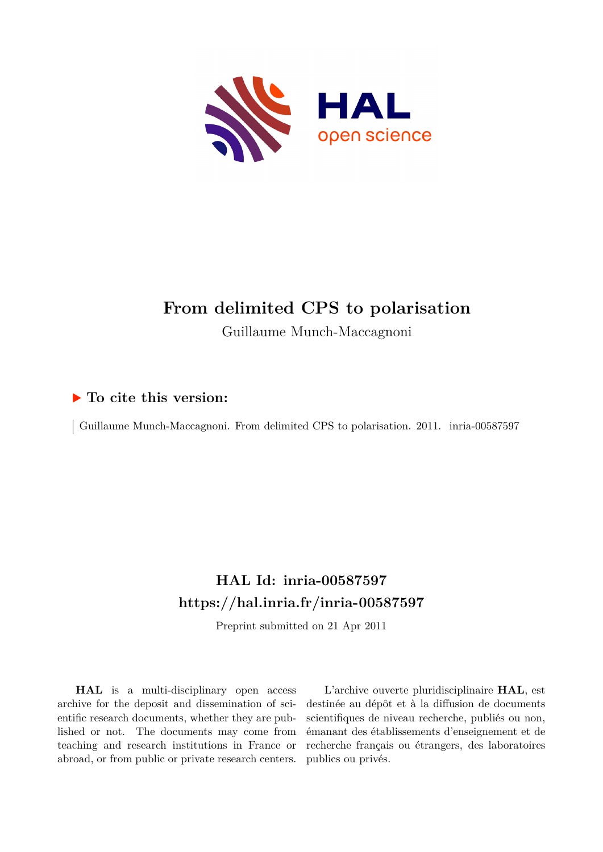

# **From delimited CPS to polarisation**

Guillaume Munch-Maccagnoni

# **To cite this version:**

Guillaume Munch-Maccagnoni. From delimited CPS to polarisation. 2011. inria-00587597

# **HAL Id: inria-00587597 <https://hal.inria.fr/inria-00587597>**

Preprint submitted on 21 Apr 2011

**HAL** is a multi-disciplinary open access archive for the deposit and dissemination of scientific research documents, whether they are published or not. The documents may come from teaching and research institutions in France or abroad, or from public or private research centers.

L'archive ouverte pluridisciplinaire **HAL**, est destinée au dépôt et à la diffusion de documents scientifiques de niveau recherche, publiés ou non, émanant des établissements d'enseignement et de recherche français ou étrangers, des laboratoires publics ou privés.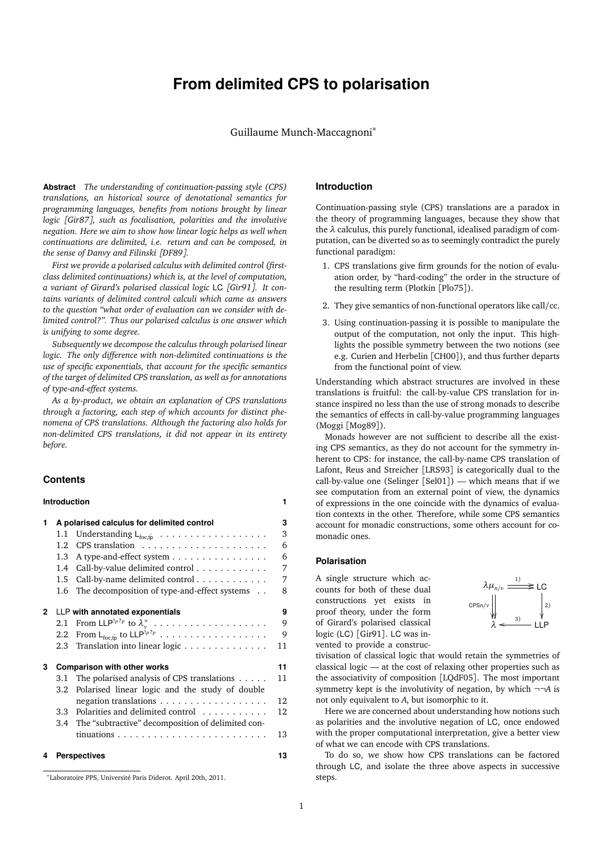## **From delimited CPS to polarisation**

### Guillaume Munch-Maccagnoni<sup>∗</sup>

**Abstract** *The understanding of continuation-passing style (CPS) translations, an historical source of denotational semantics for programming languages, benefits from notions brought by linear logic [[Gir87](#page-14-0)], such as focalisation, polarities and the involutive negation. Here we aim to show how linear logic helps as well when continuations are delimited, i.e. return and can be composed, in the sense of Danvy and Filinski [[DF89](#page-14-1)].*

*First we provide a polarised calculus with delimited control (firstclass delimited continuations) which is, at the level of computation, a variant of Girard's polarised classical logic* LC *[[Gir91](#page-14-2)]. It contains variants of delimited control calculi which came as answers to the question "what order of evaluation can we consider with delimited control?". Thus our polarised calculus is one answer which is unifying to some degree.*

*Subsequently we decompose the calculus through polarised linear logic. The only difference with non-delimited continuations is the use of specific exponentials, that account for the specific semantics of the target of delimited CPS translation, as well as for annotations of type-and-effect systems.*

*As a by-product, we obtain an explanation of CPS translations through a factoring, each step of which accounts for distinct phenomena of CPS translations. Although the factoring also holds for non-delimited CPS translations, it did not appear in its entirety before.*

#### **Contents**

#### **[Introduction](#page-1-0) 1**

| 1. |               | A polarised calculus for delimited control                                                                                                            | 3  |
|----|---------------|-------------------------------------------------------------------------------------------------------------------------------------------------------|----|
|    | 1.1           | Understanding $L_{foc,fp}$                                                                                                                            | 3  |
|    | 1.2.          |                                                                                                                                                       | 6  |
|    | 1.3           | A type-and-effect system                                                                                                                              | 6  |
|    | 1.4           | Call-by-value delimited control                                                                                                                       | 7  |
|    | 1.5           | Call-by-name delimited control                                                                                                                        | 7  |
|    | 1.6           | The decomposition of type-and-effect systems                                                                                                          | 8  |
| 2  |               | LLP with annotated exponentials                                                                                                                       | 9  |
|    | 2.1           | From LLP <sup>1</sup> $P$ <sup>2</sup> $p$ to $\lambda_v^{\times}$                                                                                    | 9  |
|    | $2.2^{\circ}$ | From $\mathsf{L}_{\mathsf{foc},\mathsf{fp}}$ to $\mathsf{LLP}^{\mathsf{1p}2p}\cdot\ldots\cdot\ldots\cdot\ldots\cdot\ldots\cdot\ldots\cdot\ldots\cdot$ | 9  |
|    | 2.3           | Translation into linear logic                                                                                                                         | 11 |
| 3  |               | <b>Comparison with other works</b>                                                                                                                    | 11 |
|    | 3.1           | The polarised analysis of CPS translations $\dots$ .                                                                                                  | 11 |
|    | 3.2           | Polarised linear logic and the study of double                                                                                                        |    |
|    |               |                                                                                                                                                       | 12 |
|    | 3.3           | Polarities and delimited control                                                                                                                      | 12 |
|    |               | 3.4 The "subtractive" decomposition of delimited con-                                                                                                 |    |
|    |               |                                                                                                                                                       | 13 |
| 4  |               | <b>Perspectives</b>                                                                                                                                   | 13 |

#### **Introduction**

<span id="page-1-0"></span>Continuation-passing style (CPS) translations are a paradox in the theory of programming languages, because they show that the *λ* calculus, this purely functional, idealised paradigm of computation, can be diverted so as to seemingly contradict the purely functional paradigm:

- 1. CPS translations give firm grounds for the notion of evaluation order, by "hard-coding" the order in the structure of the resulting term (Plotkin [[Plo75](#page-14-3)]).
- 2. They give semantics of non-functional operators like call/cc.
- 3. Using continuation-passing it is possible to manipulate the output of the computation, not only the input. This highlights the possible symmetry between the two notions (see e.g. Curien and Herbelin [[CH00](#page-14-4)]), and thus further departs from the functional point of view.

Understanding which abstract structures are involved in these translations is fruitful: the call-by-value CPS translation for instance inspired no less than the use of strong monads to describe the semantics of effects in call-by-value programming languages (Moggi [[Mog89](#page-14-5)]).

Monads however are not sufficient to describe all the existing CPS semantics, as they do not account for the symmetry inherent to CPS: for instance, the call-by-name CPS translation of Lafont, Reus and Streicher [[LRS93](#page-14-6)] is categorically dual to the call-by-value one (Selinger  $[Sel01]$  $[Sel01]$  $[Sel01]$ ) — which means that if we see computation from an external point of view, the dynamics of expressions in the one coincide with the dynamics of evaluation contexts in the other. Therefore, while some CPS semantics account for monadic constructions, some others account for comonadic ones.

#### **Polarisation**

A single structure which accounts for both of these dual constructions yet exists in proof theory, under the form of Girard's polarised classical logic (LC) [[Gir91](#page-14-2)]. LC was invented to provide a construc-



tivisation of classical logic that would retain the symmetries of classical logic — at the cost of relaxing other properties such as the associativity of composition [[LQdF05](#page-14-8)]. The most important symmetry kept is the involutivity of negation, by which  $\neg\neg A$  is not only equivalent to *A*, but isomorphic to it.

Here we are concerned about understanding how notions such as polarities and the involutive negation of LC, once endowed with the proper computational interpretation, give a better view of what we can encode with CPS translations.

To do so, we show how CPS translations can be factored through LC, and isolate the three above aspects in successive steps.

<sup>∗</sup> Laboratoire PPS, Université Paris Diderot. April 20th, 2011.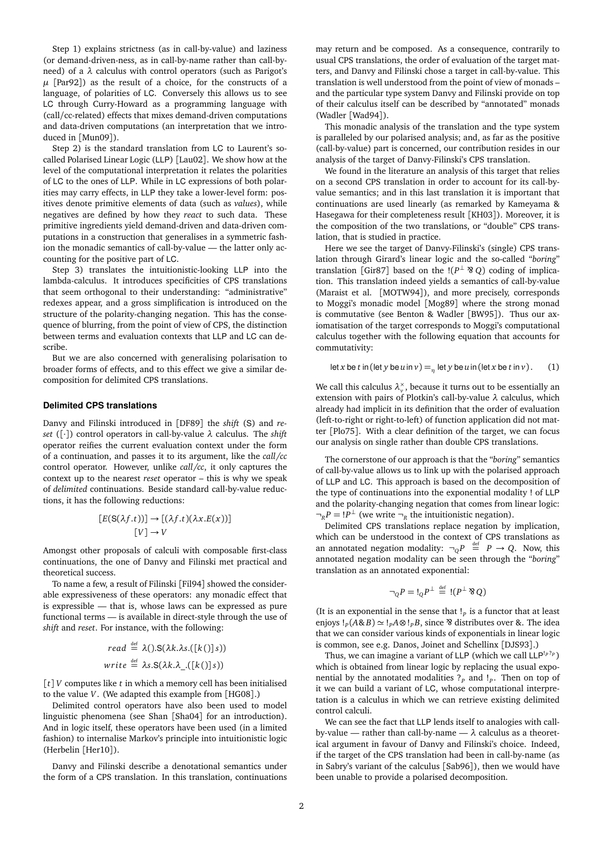Step 1) explains strictness (as in call-by-value) and laziness (or demand-driven-ness, as in call-by-name rather than call-byneed) of a *λ* calculus with control operators (such as Parigot's  $\mu$  [[Par92](#page-14-9)]) as the result of a choice, for the constructs of a language, of polarities of LC. Conversely this allows us to see LC through Curry-Howard as a programming language with (call/cc-related) effects that mixes demand-driven computations and data-driven computations (an interpretation that we introduced in [[Mun09](#page-14-10)]).

Step 2) is the standard translation from LC to Laurent's socalled Polarised Linear Logic (LLP) [[Lau02](#page-14-11)]. We show how at the level of the computational interpretation it relates the polarities of LC to the ones of LLP. While in LC expressions of both polarities may carry effects, in LLP they take a lower-level form: positives denote primitive elements of data (such as *values*), while negatives are defined by how they *react* to such data. These primitive ingredients yield demand-driven and data-driven computations in a construction that generalises in a symmetric fashion the monadic semantics of call-by-value — the latter only accounting for the positive part of LC.

Step 3) translates the intuitionistic-looking LLP into the lambda-calculus. It introduces specificities of CPS translations that seem orthogonal to their understanding: "administrative" redexes appear, and a gross simplification is introduced on the structure of the polarity-changing negation. This has the consequence of blurring, from the point of view of CPS, the distinction between terms and evaluation contexts that LLP and LC can describe.

But we are also concerned with generalising polarisation to broader forms of effects, and to this effect we give a similar decomposition for delimited CPS translations.

#### **Delimited CPS translations**

Danvy and Filinski introduced in [[DF89](#page-14-1)] the *shift* (S) and *reset* ([·]) control operators in call-by-value *λ* calculus. The *shift* operator reifies the current evaluation context under the form of a continuation, and passes it to its argument, like the *call/cc* control operator. However, unlike *call/cc*, it only captures the context up to the nearest *reset* operator – this is why we speak of *delimited* continuations. Beside standard call-by-value reductions, it has the following reductions:

$$
[E(S(\lambda f.t))] \to [(\lambda f.t)(\lambda x.E(x))]
$$

$$
[V] \to V
$$

Amongst other proposals of calculi with composable first-class continuations, the one of Danvy and Filinski met practical and theoretical success.

To name a few, a result of Filinski [[Fil94](#page-14-12)] showed the considerable expressiveness of these operators: any monadic effect that is expressible — that is, whose laws can be expressed as pure functional terms — is available in direct-style through the use of *shift* and *reset*. For instance, with the following:

$$
read \stackrel{\text{def}}{=} \lambda().S(\lambda k.\lambda s.([k()]s))
$$
  
write 
$$
\stackrel{\text{def}}{=} \lambda s.S(\lambda k.\lambda_{\cdot}.([k()]s))
$$

[*t*] *V* computes like *t* in which a memory cell has been initialised to the value *V*. (We adapted this example from [[HG08](#page-14-13)].)

Delimited control operators have also been used to model linguistic phenomena (see Shan [[Sha04](#page-14-14)] for an introduction). And in logic itself, these operators have been used (in a limited fashion) to internalise Markov's principle into intuitionistic logic (Herbelin [[Her10](#page-14-15)]).

Danvy and Filinski describe a denotational semantics under the form of a CPS translation. In this translation, continuations

may return and be composed. As a consequence, contrarily to usual CPS translations, the order of evaluation of the target matters, and Danvy and Filinski chose a target in call-by-value. This translation is well understood from the point of view of monads – and the particular type system Danvy and Filinski provide on top of their calculus itself can be described by "annotated" monads (Wadler [[Wad94](#page-14-16)]).

This monadic analysis of the translation and the type system is paralleled by our polarised analysis; and, as far as the positive (call-by-value) part is concerned, our contribution resides in our analysis of the target of Danvy-Filinski's CPS translation.

We found in the literature an analysis of this target that relies on a second CPS translation in order to account for its call-byvalue semantics; and in this last translation it is important that continuations are used linearly (as remarked by Kameyama & Hasegawa for their completeness result [[KH03](#page-14-17)]). Moreover, it is the composition of the two translations, or "double" CPS translation, that is studied in practice.

Here we see the target of Danvy-Filinski's (single) CPS translation through Girard's linear logic and the so-called "*boring*" translation [[Gir87](#page-14-0)] based on the  $!(P^{\perp} \otimes Q)$  coding of implication. This translation indeed yields a semantics of call-by-value (Maraist et al. [[MOTW94](#page-14-18)]), and more precisely, corresponds to Moggi's monadic model [[Mog89](#page-14-5)] where the strong monad is commutative (see Benton & Wadler [[BW95](#page-14-19)]). Thus our axiomatisation of the target corresponds to Moggi's computational calculus together with the following equation that accounts for commutativity:

let *x* be *t* in (let *y* be *u* in *v*) =  $_{\eta}$  let *y* be *u* in (let *x* be *t* in *v*). (1)

We call this calculus  $\lambda_{\nu}^{\times}$ , because it turns out to be essentially an extension with pairs of Plotkin's call-by-value *λ* calculus, which already had implicit in its definition that the order of evaluation (left-to-right or right-to-left) of function application did not matter [[Plo75](#page-14-3)]. With a clear definition of the target, we can focus our analysis on single rather than double CPS translations.

The cornerstone of our approach is that the "*boring*" semantics of call-by-value allows us to link up with the polarised approach of LLP and LC. This approach is based on the decomposition of the type of continuations into the exponential modality ! of LLP and the polarity-changing negation that comes from linear logic:  $\neg_R P = !P^{\perp}$  (we write  $\neg_R$  the intuitionistic negation).

Delimited CPS translations replace negation by implication, which can be understood in the context of CPS translations as an annotated negation modality:  $\neg_Q P \stackrel{\text{def}}{=} P \rightarrow Q$ . Now, this annotated negation modality can be seen through the "*boring*" translation as an annotated exponential:

$$
\neg_{Q}P = !_{Q}P^{\perp} \stackrel{\text{def}}{=} !(P^{\perp} \otimes Q)
$$

(It is an exponential in the sense that  $!_P$  is a functor that at least enjoys  $!_P(A \& B) \simeq !_P A \otimes !_P B$ , since  $\Re$  distributes over &. The idea that we can consider various kinds of exponentials in linear logic is common, see e.g. Danos, Joinet and Schellinx [[DJS93](#page-14-20)].)

Thus, we can imagine a variant of LLP (which we call LLP<sup>!<sub>*P*?</sup>*P*)</sup></sub> which is obtained from linear logic by replacing the usual exponential by the annotated modalities  $?_P$  and  $!_P$ . Then on top of it we can build a variant of LC, whose computational interpretation is a calculus in which we can retrieve existing delimited control calculi.

We can see the fact that LLP lends itself to analogies with callby-value — rather than call-by-name —  $\lambda$  calculus as a theoretical argument in favour of Danvy and Filinski's choice. Indeed, if the target of the CPS translation had been in call-by-name (as in Sabry's variant of the calculus [[Sab96](#page-14-21)]), then we would have been unable to provide a polarised decomposition.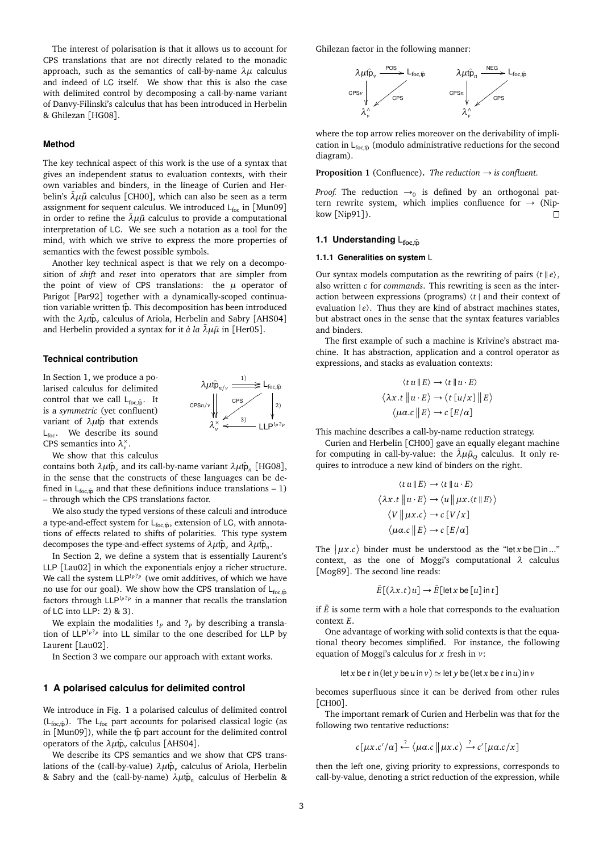The interest of polarisation is that it allows us to account for CPS translations that are not directly related to the monadic approach, such as the semantics of call-by-name *λµ* calculus and indeed of LC itself. We show that this is also the case with delimited control by decomposing a call-by-name variant of Danvy-Filinski's calculus that has been introduced in Herbelin & Ghilezan [[HG08](#page-14-13)].

#### **Method**

The key technical aspect of this work is the use of a syntax that gives an independent status to evaluation contexts, with their own variables and binders, in the lineage of Curien and Herbelin's  $\bar{\lambda} \mu \tilde{\mu}$  calculus [[CH00](#page-14-4)], which can also be seen as a term assignment for sequent calculus. We introduced  $L_{\text{foc}}$  in [[Mun09](#page-14-10)] in order to refine the  $\bar{\lambda}\mu\tilde{\mu}$  calculus to provide a computational interpretation of LC. We see such a notation as a tool for the mind, with which we strive to express the more properties of semantics with the fewest possible symbols.

Another key technical aspect is that we rely on a decomposition of *shift* and *reset* into operators that are simpler from the point of view of CPS translations: the  $\mu$  operator of Parigot [[Par92](#page-14-9)] together with a dynamically-scoped continuation variable written tp̂. This decomposition has been introduced with the  $\lambda \mu$ **i**ρ̄<sub>ν</sub> calculus of Ariola, Herbelin and Sabry [[AHS04](#page-13-2)] and Herbelin provided a syntax for it *à la*  $\bar{\lambda}$ μũ in [[Her05](#page-14-22)].

#### **Technical contribution**

In Section [1,](#page-3-0) we produce a polarised calculus for delimited control that we call  $L_{\text{foc,th}}$ . It is a *symmetric* (yet confluent) variant of  $λμ$ tp̂ that extends L<sub>foc</sub>. We describe its sound CPS semantics into  $\lambda_{\nu}^{\times}$ .



We show that this calculus

contains both  $\lambda \mu$ tp͡<sub>ν</sub> and its call-by-name variant  $\lambda \mu$ tp͡<sub>n</sub> [[HG08](#page-14-13)], in the sense that the constructs of these languages can be defined in  $L_{foc,fp}$  and that these definitions induce translations – 1) – through which the CPS translations factor.

We also study the typed versions of these calculi and introduce a type-and-effect system for  $L_{foc,\hat{tp}}$ , extension of LC, with annotations of effects related to shifts of polarities. This type system decomposes the type-and-effect systems of  $\lambda\mu$ t $\hat{p}_v$  and  $\lambda\mu$ t $\hat{p}_n$ .

In Section [2,](#page-9-0) we define a system that is essentially Laurent's LLP [[Lau02](#page-14-11)] in which the exponentials enjoy a richer structure. We call the system LLP<sup>*I<sub>P</sub>?p*</sup> (we omit additives, of which we have no use for our goal). We show how the CPS translation of  $L_{\text{foc,fp}}$ factors through LLP<sup>1<sub>p?p</sub></sup> in a manner that recalls the translation of LC into LLP: 2) & 3).

We explain the modalities  $!_P$  and  $?_P$  by describing a translation of LLP<sup>*I<sub>P</sub>?p*</sup> into LL similar to the one described for LLP by Laurent [[Lau02](#page-14-11)].

In Section [3](#page-11-1) we compare our approach with extant works.

#### <span id="page-3-0"></span>**1 A polarised calculus for delimited control**

We introduce in Fig. [1](#page-4-0) a polarised calculus of delimited control ( $L_{foc,fb}$ ). The  $L_{foc}$  part accounts for polarised classical logic (as in  $[Mun09]$  $[Mun09]$  $[Mun09]$ , while the  $\hat{p}$  part account for the delimited control operators of the  $\lambda \mu$ *i*ρ<sup>*v*</sup> calculus [[AHS04](#page-13-2)].

We describe its CPS semantics and we show that CPS translations of the (call-by-value)  $\lambda\mu$ t $\hat{p}_\nu$  calculus of Ariola, Herbelin & Sabry and the (call-by-name)  $λμ$ tp<sup>ρ</sup><sub>n</sub> calculus of Herbelin &

Ghilezan factor in the following manner:



where the top arrow relies moreover on the derivability of implication in  $\mathsf{L}_{\mathsf{foc},\hat{\mathfrak{p}}}$  (modulo administrative reductions for the second diagram).

**Proposition 1** (Confluence). *The reduction*  $\rightarrow$  *is confluent.* 

*Proof.* The reduction  $\rightarrow_0$  is defined by an orthogonal pattern rewrite system, which implies confluence for  $\rightarrow$  (Nipkow [[Nip91](#page-14-23)]).

#### <span id="page-3-1"></span>**1.1 Understanding** L<sub>foc,tt</sub><sup>®</sup>

#### **1.1.1 Generalities on system** L

Our syntax models computation as the rewriting of pairs  $\langle t | e \rangle$ , also written *c* for *commands*. This rewriting is seen as the interaction between expressions (programs) 〈*t* | and their context of evaluation  $|e\rangle$ . Thus they are kind of abstract machines states, but abstract ones in the sense that the syntax features variables and binders.

The first example of such a machine is Krivine's abstract machine. It has abstraction, application and a control operator as expressions, and stacks as evaluation contexts:

$$
\langle t u \| E \rangle \to \langle t \| u \cdot E \rangle
$$

$$
\langle \lambda x. t \| u \cdot E \rangle \to \langle t [u/x] \| E \rangle
$$

$$
\langle \mu a. c \| E \rangle \to c [E/a]
$$

This machine describes a call-by-name reduction strategy.

Curien and Herbelin [[CH00](#page-14-4)] gave an equally elegant machine for computing in call-by-value: the  $\bar{\lambda}\mu\tilde{\mu}_0$  calculus. It only requires to introduce a new kind of binders on the right.

$$
\langle t u \| E \rangle \rightarrow \langle t \| u \cdot E \rangle
$$
  

$$
\langle \lambda x. t \| u \cdot E \rangle \rightarrow \langle u \| \mu x. \langle t \| E \rangle \rangle
$$
  

$$
\langle V \| \mu x. c \rangle \rightarrow c [V/x]
$$
  

$$
\langle \mu a. c \| E \rangle \rightarrow c [E/\alpha]
$$

The  $|\mu x.c\rangle$  binder must be understood as the "let *x* be  $\Box$  in ..." context, as the one of Moggi's computational *λ* calculus [[Mog89](#page-14-5)]. The second line reads:

$$
\bar{E}[(\lambda x.t)u] \to \bar{E}[\text{let } x \text{ be } [u] \text{ in } t]
$$

if  $\bar{E}$  is some term with a hole that corresponds to the evaluation context *E*.

One advantage of working with solid contexts is that the equational theory becomes simplified. For instance, the following equation of Moggi's calculus for *x* fresh in *v*:

let x be t in (let y be u in v) 
$$
\simeq
$$
 let y be (let x be t in u) in v

becomes superfluous since it can be derived from other rules [[CH00](#page-14-4)].

The important remark of Curien and Herbelin was that for the following two tentative reductions:

$$
c[\mu x.c'/\alpha] \stackrel{?}{\leftarrow} \langle \mu \alpha.c \, || \mu x.c \rangle \stackrel{?}{\rightarrow} c'[\mu \alpha.c/x]
$$

then the left one, giving priority to expressions, corresponds to call-by-value, denoting a strict reduction of the expression, while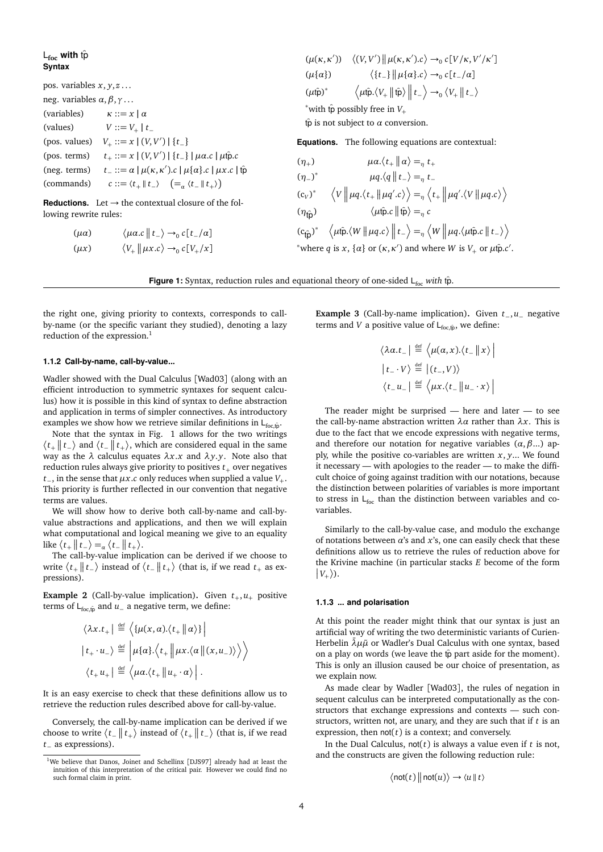#### L<sub>foc</sub> with tp<sup>∂</sup> **Syntax**

| pos. variables $x, y, z$                                                                                               |  |  |  |
|------------------------------------------------------------------------------------------------------------------------|--|--|--|
| neg. variables $\alpha, \beta, \gamma$                                                                                 |  |  |  |
| (variables) $\kappa ::= x   \alpha$                                                                                    |  |  |  |
| $V ::= V_+   t_-$                                                                                                      |  |  |  |
| $V_+ ::= x   (V, V')   \{t_-\}$                                                                                        |  |  |  |
| $t_{+}$ ::= $x   (V, V')   \{t_{-}\}   \mu \alpha.c   \mu \hat{\mathfrak{p}}.c$                                        |  |  |  |
| $t_{-} := \alpha \left[ \mu(\kappa, \kappa') \cdot c \right] \mu(\alpha) \cdot c \left[ \mu \kappa \cdot c \right]$ to |  |  |  |
| $c ::= \langle t_+ \parallel t_- \rangle \quad (=_a \langle t_- \parallel t_+ \rangle)$<br>(commands)                  |  |  |  |
| (neg. terms)                                                                                                           |  |  |  |

**Reductions.** Let  $\rightarrow$  the contextual closure of the following rewrite rules:

| $(\mu \alpha)$ | $\langle \mu \alpha. c \Vert t_{-} \rangle \rightarrow_0 c[t_{-}/\alpha]$ |
|----------------|---------------------------------------------------------------------------|
| $(\mu x)$      | $\langle V_+ \vert \vert \mu x.c \rangle \rightarrow_0 c[V_+/x]$          |

 $(\mu(\kappa, \kappa')) \quad \langle (V, V') \mid \mu(\kappa, \kappa').c \rangle \rightarrow 0 \quad c[V/\kappa, V'/\kappa']$ (*µ*{*α*})  $\langle \{t_{-}\}\rangle$  ||  $\mu\{\alpha\}.c$   $\rangle \rightarrow_0 c[t_{-}/\alpha]$  $(\mu \hat{\mathfrak{p}})^*$  $\left\langle \mu \hat{\mathsf{p}}. \langle V_+ \parallel \hat{\mathsf{tp}} \rangle \right|$  $\Vert t_-\rangle \rightarrow_0 \langle V_+ \Vert t_-\rangle$ <sup>\*</sup>with tp̂ possibly free in  $V_+$ 

 $t\hat{p}$  is not subject to  $\alpha$  conversion.

**Equations.** The following equations are contextual:

$$
(\eta_{+}) \qquad \mu\alpha.\langle t_{+} \parallel \alpha \rangle =_{\eta} t_{+}
$$
  
\n
$$
(\eta_{-})^{*} \qquad \mu q.\langle q \parallel t_{-} \rangle =_{\eta} t_{-}
$$
  
\n
$$
(\mathbf{c}_{v})^{*} \qquad \langle V \parallel \mu q.\langle t_{+} \parallel \mu q'.c \rangle \rangle =_{\eta} \langle t_{+} \parallel \mu q'.\langle V \parallel \mu q.c \rangle \rangle
$$
  
\n
$$
(\eta_{\hat{\mathbf{p}}}) \qquad \langle \mu \hat{\mathbf{p}}.c \parallel \hat{\mathbf{p}} \rangle =_{\eta} c
$$
  
\n
$$
(\mathbf{c}_{\hat{\mathbf{p}}})^{*} \qquad \langle \mu \hat{\mathbf{p}}. \langle W \parallel \mu q.c \rangle \parallel t_{-} \rangle =_{\eta} \langle W \parallel \mu q. \langle \mu \hat{\mathbf{p}}.c \parallel t_{-} \rangle \rangle
$$
  
\n\*where  $q$  is  $x$ ,  $\{ \alpha \}$  or  $(\kappa, \kappa')$  and where  $W$  is  $V_{+}$  or  $\mu \hat{\mathbf{p}}.c'$ 

<span id="page-4-0"></span>**Figure 1:** Syntax, reduction rules and equational theory of one-sided L<sub>foc</sub> with tp̂.

the right one, giving priority to contexts, corresponds to callby-name (or the specific variant they studied), denoting a lazy reduction of the expression.<sup>[1](#page-4-1)</sup>

#### **1.1.2 Call-by-name, call-by-value...**

Wadler showed with the Dual Calculus [[Wad03](#page-14-24)] (along with an efficient introduction to symmetric syntaxes for sequent calculus) how it is possible in this kind of syntax to define abstraction and application in terms of simpler connectives. As introductory examples we show how we retrieve similar definitions in  $L_{\text{foc},\hat{\text{foc}}}$ .

Note that the syntax in Fig. [1](#page-4-0) allows for the two writings  $\langle t_+ \| t_- \rangle$  and  $\langle t_- \| t_+ \rangle$ , which are considered equal in the same way as the *λ* calculus equates *λx*.*x* and *λy*. *y*. Note also that reduction rules always give priority to positives  $t_{+}$  over negatives *t*−, in the sense that  $\mu x$ .*c* only reduces when supplied a value  $V_+$ . This priority is further reflected in our convention that negative terms are values.

We will show how to derive both call-by-name and call-byvalue abstractions and applications, and then we will explain what computational and logical meaning we give to an equality like  $\langle t_+ | t_- \rangle =_{\alpha} \langle t_- | t_+ \rangle$ .

The call-by-value implication can be derived if we choose to write  $\langle t_+ \| t_- \rangle$  instead of  $\langle t_- \| t_+ \rangle$  (that is, if we read  $t_+$  as expressions).

<span id="page-4-2"></span>**Example 2** (Call-by-value implication). Given  $t_+, u_+$  positive terms of  $L_{\text{foc,fp}}$  and  $u$ <sub>−</sub> a negative term, we define:

$$
\langle \lambda x. t_{+} | \stackrel{\text{def}}{=} \langle \{ \mu(x, \alpha). \langle t_{+} || \alpha \rangle \} |
$$
  
\n
$$
| t_{+} \cdot u_{-} \rangle \stackrel{\text{def}}{=} \left| \mu \{ \alpha \} . \langle t_{+} || \mu x. \langle \alpha || (x, u_{-}) \rangle \rangle \right\rangle
$$
  
\n
$$
\langle t_{+} u_{+} | \stackrel{\text{def}}{=} \langle \mu \alpha. \langle t_{+} || u_{+} \cdot \alpha \rangle | .
$$

It is an easy exercise to check that these definitions allow us to retrieve the reduction rules described above for call-by-value.

Conversely, the call-by-name implication can be derived if we choose to write  $\langle t_- \Vert t_+ \rangle$  instead of  $\langle t_+ \Vert t_- \rangle$  (that is, if we read *t*<sup>−</sup> as expressions).

<span id="page-4-3"></span>**Example 3** (Call-by-name implication)**.** Given *t*−, *u*<sup>−</sup> negative terms and *V* a positive value of  $L_{foc,fp}$ , we define:

.

$$
\langle \lambda \alpha. t_{-} | \stackrel{\text{def}}{=} \langle \mu(\alpha, x). \langle t_{-} || x \rangle |
$$
  
\n
$$
|t_{-} \cdot V \rangle \stackrel{\text{def}}{=} |(t_{-}, V) \rangle
$$
  
\n
$$
\langle t_{-} u_{-} | \stackrel{\text{def}}{=} \langle \mu x. \langle t_{-} || u_{-} \cdot x \rangle |
$$

The reader might be surprised  $-$  here and later  $-$  to see the call-by-name abstraction written *λα* rather than *λx*. This is due to the fact that we encode expressions with negative terms, and therefore our notation for negative variables  $(\alpha, \beta...)$  apply, while the positive co-variables are written *x*, *y*... We found it necessary — with apologies to the reader — to make the difficult choice of going against tradition with our notations, because the distinction between polarities of variables is more important to stress in  $L_{\text{foc}}$  than the distinction between variables and covariables.

Similarly to the call-by-value case, and modulo the exchange of notations between  $\alpha$ 's and  $x$ 's, one can easily check that these definitions allow us to retrieve the rules of reduction above for  $|V_{+}\rangle$ ). the Krivine machine (in particular stacks *E* become of the form

#### **1.1.3 ... and polarisation**

At this point the reader might think that our syntax is just an artificial way of writing the two deterministic variants of Curien-Herbelin  $λμ\tilde{μ}$  or Wadler's Dual Calculus with one syntax, based on a play on words (we leave the tp̂ part aside for the moment). This is only an illusion caused be our choice of presentation, as we explain now.

As made clear by Wadler [[Wad03](#page-14-24)], the rules of negation in sequent calculus can be interpreted computationally as the constructors that exchange expressions and contexts — such constructors, written not, are unary, and they are such that if *t* is an expression, then  $not(t)$  is a context; and conversely.

In the Dual Calculus,  $not(t)$  is always a value even if  $t$  is not, and the constructs are given the following reduction rule:

$$
\langle \text{not}(t) \big| \text{not}(u) \rangle \rightarrow \langle u \Vert t \rangle
$$

<span id="page-4-1"></span><sup>&</sup>lt;sup>1</sup>We believe that Danos, Joinet and Schellinx [[DJS97](#page-14-25)] already had at least the intuition of this interpretation of the critical pair. However we could find no such formal claim in print.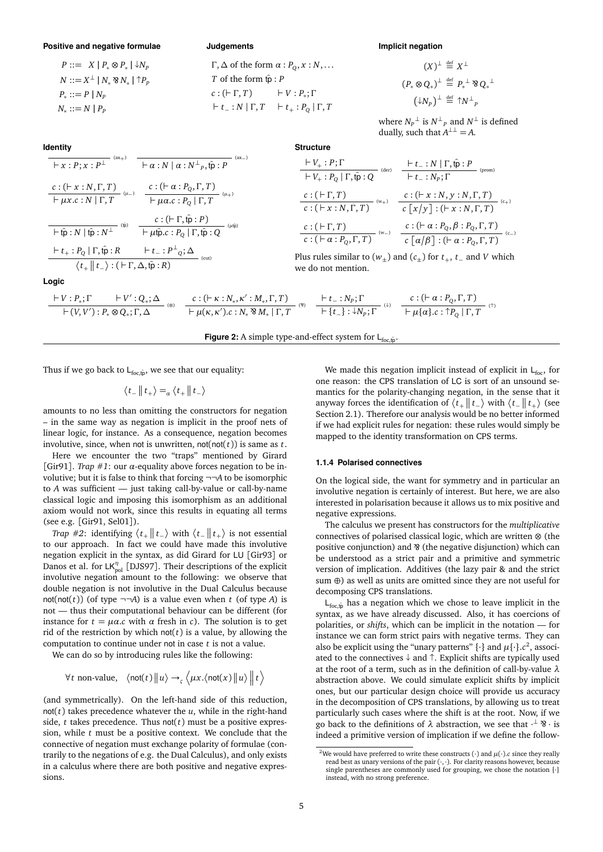**Positive and negative formulae**

**Identity**

*P* ::= *X*  $| P_* \otimes P_* | √N_P$  $N ::= X^{\perp} \mid N_* \otimes N_* \mid \uparrow P_P$ *P*<sup>∗</sup> ::= *P* | *N*<sup>*p*</sup>  $N_*$  ::= *N*  $| P_P$ 

#### **Judgements**

Γ,  $\Delta$  of the form  $\alpha$  :  $P_Q$ ,  $x : N$ ,... *T* of the form  $\hat{\textbf{p}}$  : *P*  $c$  :  $(F \Gamma, T)$  $\vdash V : P_*; \Gamma$  $\vdash t_- : N \mid \Gamma, T \quad \vdash t_+ : P_0 \mid \Gamma, T$ 

#### **Implicit negation**

$$
(X)^{\perp} \stackrel{\text{def}}{=} X^{\perp}
$$

$$
(P_* \otimes Q_*)^{\perp} \stackrel{\text{def}}{=} P_*^{\perp} \otimes Q_*^{\perp}
$$

$$
(\downarrow N_P)^{\perp} \stackrel{\text{def}}{=} \uparrow N^{\perp}{}_P
$$

where  $N_p^{\perp}$  is  $N^{\perp}$  and  $N^{\perp}$  is defined dually, such that  $A^{\perp \perp} = A$ .

| $\vdash x : P; x : P^{\perp}$ <sup>(ax+)</sup><br>$\overline{\vdash \alpha : N \mid \alpha : N^{\perp}{}_{p}, \hat{\mathfrak{p}} : P}$                                                                                                                            | $\vdash V_{+} : P; \Gamma$<br>$\frac{\vdash t_- : N \mid \Gamma, \hat{\mathfrak{tp}} : P}{\vdash t_- : N_P; \Gamma} \xrightarrow{\text{(prom)}}$<br>$\overbrace{\phantom{h^{2}}\vdash V_{+} : P_{Q} \mid \Gamma, \hat{\mathfrak{tp}} : Q}^{\text{(der)}}$ |
|-------------------------------------------------------------------------------------------------------------------------------------------------------------------------------------------------------------------------------------------------------------------|-----------------------------------------------------------------------------------------------------------------------------------------------------------------------------------------------------------------------------------------------------------|
| $\frac{c:(\vdash x:N,\Gamma,T)}{\vdash \mu x.c:N \mid \Gamma,T} \xrightarrow{(\mu-)} \frac{c:(\vdash \alpha:P_Q,\Gamma,T)}{\vdash \mu \alpha.c:P_Q \mid \Gamma,T} \xrightarrow{(\mu+)}$                                                                           | $\frac{c:(\vdash\Gamma,T)}{c:(\vdash x:N,\Gamma,T)}$ (w+) $\frac{c:(\vdash x:N,y:N,\Gamma,T)}{c[x/y]:( \vdash x:N,\Gamma,T)}$ (c+)                                                                                                                        |
| $\frac{c:(\vdash\Gamma,\mathfrak{f}\mathfrak{p}:P)}{\vdash\mathfrak{f}\mathfrak{p}:N\mid\mathfrak{f}\mathfrak{p}:N^{\perp}}\quad\overset{(i)}{\vdash\mu\mathfrak{f}\mathfrak{p}:P_Q\mid\Gamma,\mathfrak{f}\mathfrak{p}:Q}\xrightarrow{(\mu\mathfrak{f})} \cdots$  | $\frac{c:(\vdash\Gamma,T)}{c:(\vdash\alpha:P_{Q},\Gamma,T)} \xrightarrow{(w_{-})} \frac{c:(\vdash\alpha:P_{Q},\beta:P_{Q},\Gamma,T)}{c\left[\alpha/\beta\right]:(\vdash\alpha:P_{Q},\Gamma,T)} \xrightarrow{(c_{-})}$                                     |
| $\frac{\vdash t_+:P_Q \mid \Gamma, \mathfrak{f}\mathfrak{p}:R \qquad \vdash t_+:P^\perp_Q;\Delta}{\langle t_+ \Vert \, t_- \rangle : (\vdash \Gamma, \Delta, \mathfrak{f}\mathfrak{p}:R)} \; {}_{\scriptscriptstyle{\text{(cut)}}}$                               | Plus rules similar to $(w_+)$ and $(c_+)$ for $t_+$ , $t_-$ and V which<br>we do not mention.                                                                                                                                                             |
| Logic                                                                                                                                                                                                                                                             |                                                                                                                                                                                                                                                           |
| $+V: P_*; \Gamma \longrightarrow +V': Q_*; \Delta \longrightarrow + (V,V'): P_* \otimes Q_*; \Gamma, \Delta \longrightarrow \infty$<br>$\frac{c:(\vdash\kappa:N_*,\kappa':M_*,\Gamma,T)}{\vdash\mu(\kappa,\kappa').c:N_*\mathcal{B}M_*\mathbin\vert\Gamma,T}$ (8) | $\frac{c:(\vdash \alpha:P_{Q},\Gamma,T)}{\vdash \mu\{\alpha\}.c:\uparrow P_{Q} \Gamma,T} \Leftrightarrow$<br>$\frac{\vdash t_{-}:N_{P};\Gamma}{\vdash \{t_{-}\}:\downarrow N_{P};\Gamma}$ (4)                                                             |

**Structure**

<span id="page-5-1"></span>**Figure 2:** A simple type-and-effect system for L<sub>foc fo</sub>.

Thus if we go back to  $L_{foc,fp}$ , we see that our equality:

$$
\langle t_- \, || \, t_+ \rangle =_\alpha \langle t_+ \, || \, t_- \rangle
$$

amounts to no less than omitting the constructors for negation – in the same way as negation is implicit in the proof nets of linear logic, for instance. As a consequence, negation becomes involutive, since, when not is unwritten, not(not( $t$ )) is same as  $t$ .

Here we encounter the two "traps" mentioned by Girard [[Gir91](#page-14-2)]. *Trap #1*: our *α*-equality above forces negation to be involutive; but it is false to think that forcing ¬¬*A* to be isomorphic to *A* was sufficient — just taking call-by-value or call-by-name classical logic and imposing this isomorphism as an additional axiom would not work, since this results in equating all terms (see e.g. [[Gir91,](#page-14-2) [Sel01](#page-14-7)]).

*Trap* #2: identifying  $\langle t_+ | t_- \rangle$  with  $\langle t_- | t_+ \rangle$  is not essential to our approach. In fact we could have made this involutive negation explicit in the syntax, as did Girard for LU [[Gir93](#page-14-26)] or Danos et al. for LK<sup>η</sup><sub>pol</sub> [[DJS97](#page-14-25)]. Their descriptions of the explicit involutive negation amount to the following: we observe that double negation is not involutive in the Dual Calculus because not(not(*t*)) (of type  $\neg\neg A$ ) is a value even when *t* (of type *A*) is not — thus their computational behaviour can be different (for instance for  $t = \mu \alpha$ .*c* with  $\alpha$  fresh in *c*). The solution is to get rid of the restriction by which not( $t$ ) is a value, by allowing the computation to continue under not in case *t* is not a value.

We can do so by introducing rules like the following:

 $\forall t \text{ non-value}, \quad \langle \text{not}(t) || u \rangle \rightarrow_{\varsigma} \langle \mu x. \langle \text{not}(x) || u \rangle$  $\bigg |\,t\bigg \rangle$ 

(and symmetrically). On the left-hand side of this reduction, not( $t$ ) takes precedence whatever the  $u$ , while in the right-hand side,  $t$  takes precedence. Thus not( $t$ ) must be a positive expression, while *t* must be a positive context. We conclude that the connective of negation must exchange polarity of formulae (contrarily to the negations of e.g. the Dual Calculus), and only exists in a calculus where there are both positive and negative expressions.

We made this negation implicit instead of explicit in  $L_{foc}$ , for one reason: the CPS translation of LC is sort of an unsound semantics for the polarity-changing negation, in the sense that it anyway forces the identification of  $\langle t_+ | t_- \rangle$  with  $\langle t_- | t_+ \rangle$  (see Section [2.1\)](#page-9-1). Therefore our analysis would be no better informed if we had explicit rules for negation: these rules would simply be mapped to the identity transformation on CPS terms.

#### **1.1.4 Polarised connectives**

On the logical side, the want for symmetry and in particular an involutive negation is certainly of interest. But here, we are also interested in polarisation because it allows us to mix positive and negative expressions.

The calculus we present has constructors for the *multiplicative* connectives of polarised classical logic, which are written ⊗ (the positive conjunction) and & (the negative disjunction) which can be understood as a strict pair and a primitive and symmetric version of implication. Additives (the lazy pair & and the strict sum ⊕) as well as units are omitted since they are not useful for decomposing CPS translations.

 $L_{\text{foc,fp}}$  has a negation which we chose to leave implicit in the syntax, as we have already discussed. Also, it has coercions of polarities, or *shifts*, which can be implicit in the notation — for instance we can form strict pairs with negative terms. They can also be explicit using the "unary patterns"  $\{\cdot\}$  and  $\mu\{\cdot\}$ .*c*<sup>[2](#page-5-0)</sup>, associated to the connectives  $\downarrow$  and  $\uparrow$ . Explicit shifts are typically used at the root of a term, such as in the definition of call-by-value *λ* abstraction above. We could simulate explicit shifts by implicit ones, but our particular design choice will provide us accuracy in the decomposition of CPS translations, by allowing us to treat particularly such cases where the shift is at the root. Now, if we go back to the definitions of  $\lambda$  abstraction, we see that  $\cdot^{\perp} \mathcal{B} \cdot$  is indeed a primitive version of implication if we define the follow-

<span id="page-5-0"></span> $^2$  We would have preferred to write these constructs  $(\cdot)$  and  $\mu(\cdot).c$  since they really read best as unary versions of the pair  $(\cdot, \cdot)$ . For clarity reasons however, because single parentheses are commonly used for grouping, we chose the notation  $\{\cdot\}$ instead, with no strong preference.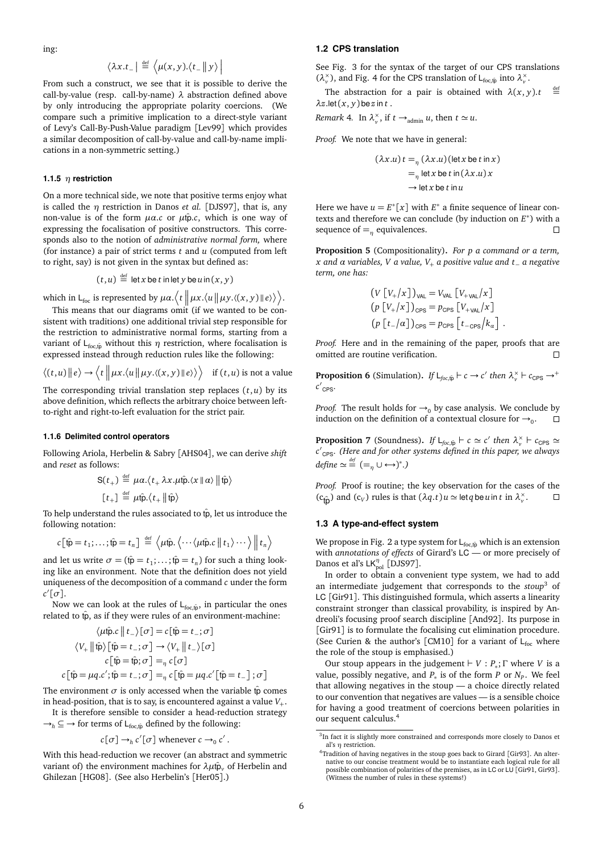ing:

$$
\langle \lambda x.t_{-} \vert \stackrel{\text{def}}{=} \langle \mu(x,y). \langle t_{-} \vert \vert y \rangle \vert
$$

From such a construct, we see that it is possible to derive the call-by-value (resp. call-by-name) *λ* abstraction defined above by only introducing the appropriate polarity coercions. (We compare such a primitive implication to a direct-style variant of Levy's Call-By-Push-Value paradigm [[Lev99](#page-14-27)] which provides a similar decomposition of call-by-value and call-by-name implications in a non-symmetric setting.)

#### **1.1.5** *η* **restriction**

On a more technical side, we note that positive terms enjoy what is called the *η* restriction in Danos *et al.* [[DJS97](#page-14-25)], that is, any non-value is of the form  $\mu\alpha$ .*c* or  $\mu$ tp̂.*c*, which is one way of expressing the focalisation of positive constructors. This corresponds also to the notion of *administrative normal form,* where (for instance) a pair of strict terms *t* and *u* (computed from left to right, say) is not given in the syntax but defined as:

$$
(t, u) \stackrel{\text{def}}{=} \text{let } x \text{ be } t \text{ in } \text{let } y \text{ be } u \text{ in } (x, y)
$$

which in L<sub>foc</sub> is represented by  $\mu \alpha. \langle t \rangle$  $\vert \mu x. \langle u \vert \vert \mu y. \langle (x, y) \vert \vert e \rangle \rangle.$ 

This means that our diagrams omit (if we wanted to be consistent with traditions) one additional trivial step responsible for the restriction to administrative normal forms, starting from a variant of  $L_{\text{foc,fp}}$  without this  $\eta$  restriction, where focalisation is expressed instead through reduction rules like the following:

$$
\langle (t,u) \| e \rangle \to \langle t \| \mu x. \langle u \| \mu y. \langle (x,y) \| e \rangle \rangle \quad \text{if } (t,u) \text{ is not a value}
$$

The corresponding trivial translation step replaces  $(t, u)$  by its above definition, which reflects the arbitrary choice between leftto-right and right-to-left evaluation for the strict pair.

#### **1.1.6 Delimited control operators**

Following Ariola, Herbelin & Sabry [[AHS04](#page-13-2)], we can derive *shift* and *reset* as follows:

$$
S(t_{+}) \stackrel{\text{def}}{=} \mu \alpha \langle t_{+} \lambda x. \mu \hat{\mathbf{p}}. \langle x \parallel \alpha \rangle \parallel \hat{\mathbf{p}} \rangle
$$

$$
[t_{+}] \stackrel{\text{def}}{=} \mu \hat{\mathbf{p}}. \langle t_{+} \parallel \hat{\mathbf{p}} \rangle
$$

To help understand the rules associated to  $\hat{p}$ , let us introduce the following notation:

$$
c[\hat{\mathbf{p}}=t_1;\ldots;\hat{\mathbf{p}}=t_n]\stackrel{\text{def}}{=} \langle \mu \hat{\mathbf{p}}, \langle \cdots \langle \mu \hat{\mathbf{p}}, c \parallel t_1 \rangle \cdots \rangle \parallel t_n \rangle
$$

and let us write  $\sigma = (\hat{\mathfrak{p}} = t_1; \ldots; \hat{\mathfrak{p}} = t_n)$  for such a thing looking like an environment. Note that the definition does not yield uniqueness of the decomposition of a command *c* under the form *c* ′ [*σ*].

Now we can look at the rules of  $L_{\text{foc,fb}}$ , in particular the ones related to tp̂, as if they were rules of an environment-machine:

$$
\langle \mu \hat{\mathbf{p}}. c \parallel t_{-} \rangle [\sigma] = c[\hat{\mathbf{t}}\hat{\mathbf{p}} = t_{-}; \sigma]
$$

$$
\langle V_{+} \parallel \hat{\mathbf{t}}\hat{\mathbf{p}}\rangle [\hat{\mathbf{t}}\hat{\mathbf{p}} = t_{-}; \sigma] \rightarrow \langle V_{+} \parallel t_{-} \rangle [\sigma]
$$

$$
c[\hat{\mathbf{t}}\hat{\mathbf{p}} = \hat{\mathbf{t}}\hat{\mathbf{p}}; \sigma] = \eta c[\sigma]
$$

$$
c[\hat{\mathbf{t}}\hat{\mathbf{p}} = \mu q.c'; \hat{\mathbf{t}}\hat{\mathbf{p}} = t_{-}; \sigma] = \eta c[\hat{\mathbf{t}}\hat{\mathbf{p}} = \mu q.c'[\hat{\mathbf{t}}\hat{\mathbf{p}} = t_{-}]; \sigma]
$$

The environment  $\sigma$  is only accessed when the variable tp comes in head-position, that is to say, is encountered against a value  $V_+$ .

It is therefore sensible to consider a head-reduction strategy  $\rightarrow$ <sub>h</sub>  $\subseteq$   $\rightarrow$  for terms of L<sub>foc,fp</sub>̂ defined by the following:

$$
c[\sigma] \rightarrow_h c'[\sigma]
$$
 whenever  $c \rightarrow_0 c'.$ 

With this head-reduction we recover (an abstract and symmetric variant of) the environment machines for  $λμ$ tp�<sub>v</sub> of Herbelin and Ghilezan [[HG08](#page-14-13)]. (See also Herbelin's [[Her05](#page-14-22)].)

#### <span id="page-6-0"></span>**1.2 CPS translation**

See Fig. [3](#page-7-2) for the syntax of the target of our CPS translations  $(\lambda_{\nu}^{\times})$ , and Fig. [4](#page-7-3) for the CPS translation of  $L_{\text{foc,fp}}$  into  $\lambda_{\nu}^{\times}$ .

The abstraction for a pair is obtained with  $\lambda(x, y)$ .  $t \stackrel{\text{def}}{=}$  $λz$ .let $(x, y)$  be *z* in *t*.

*Remark* 4. In  $\lambda_v^{\times}$ , if  $t \rightarrow_{\text{admin}} u$ , then  $t \simeq u$ .

*Proof.* We note that we have in general:

$$
(\lambda x.u) t =_{\eta} (\lambda x.u) (\text{let } x \text{ be } t \text{ in } x)
$$
  
=\_{\eta} \text{let } x \text{ be } t \text{ in } (\lambda x.u) x  

$$
\rightarrow \text{let } x \text{ be } t \text{ in } u
$$

Here we have  $u = E^*[x]$  with  $E^*$  a finite sequence of linear contexts and therefore we can conclude (by induction on  $E^*$ ) with a sequence of  $=_n$  equivalences.  $\Box$ 

**Proposition 5** (Compositionality)**.** *For p a command or a term, x and α variables, V a value, V*<sup>+</sup> *a positive value and t*<sup>−</sup> *a negative term, one has:*

$$
(V [V_{+}/x])_{\text{VAL}} = V_{\text{VAL}} [V_{+\text{VAL}}/x]
$$
  
\n
$$
(p [V_{+}/x])_{\text{CPS}} = p_{\text{CPS}} [V_{+\text{VAL}}/x]
$$
  
\n
$$
(p [t_{-}/\alpha])_{\text{CPS}} = p_{\text{CPS}} [t_{-\text{CPS}}/k_{\alpha}]
$$

.

*Proof.* Here and in the remaining of the paper, proofs that are omitted are routine verification.

**Proposition 6** (Simulation). *If*  $L_{foc,\hat{p}} \vdash c \rightarrow c'$  *then*  $\lambda_v^{\times} \vdash c_{CPS} \rightarrow^{+}$ *c* ′ CPS*.*

*Proof.* The result holds for  $\rightarrow$ <sub>0</sub> by case analysis. We conclude by induction on the definition of a contextual closure for  $\rightarrow_0$ .

**Proposition 7** (Soundness). *If*  $L_{foc, f\hat{p}}$  ⊢ *c* ≃ *c'* then  $\lambda_v^{\times}$  ⊢  $c_{CPS}$  ≃  $c'$ <sub>CPS</sub>. (Here and for other systems defined in this paper, we always  $define \simeq \stackrel{\textit{def}}{=} (=_{\eta} \cup \longleftrightarrow)^{*}.$ 

*Proof.* Proof is routine; the key observation for the cases of the  $(c_{\hat{\text{tp}}})$  and  $(c_V)$  rules is that  $(\lambda q. t)u \approx \text{let } q \text{ be } u \text{ in } t \text{ in } \lambda_v^{\times}$ .  $\Box$ 

#### <span id="page-6-1"></span>**1.3 A type-and-effect system**

We propose in Fig. [2](#page-5-1) a type system for  $\mathsf{L}_{\mathsf{foc},\hat{\mathsf{fp}}}$  which is an extension with *annotations of effects* of Girard's LC — or more precisely of Danos et al's LK<sup>η</sup><sub>pol</sub> [[DJS97](#page-14-25)].

In order to obtain a convenient type system, we had to add an intermediate judgement that corresponds to the *stoup*[3](#page-6-2) of LC [[Gir91](#page-14-2)]. This distinguished formula, which asserts a linearity constraint stronger than classical provability, is inspired by Andreoli's focusing proof search discipline [[And92](#page-14-28)]. Its purpose in [[Gir91](#page-14-2)] is to formulate the focalising cut elimination procedure. (See Curien & the author's  $\lceil$  [CM10](#page-14-29) $\rceil$  for a variant of  $L_{\text{foc}}$  where the role of the stoup is emphasised.)

Our stoup appears in the judgement  $\vdash V : P_*; \Gamma$  where *V* is a value, possibly negative, and  $P_*$  is of the form  $P$  or  $N_P$ . We feel that allowing negatives in the stoup — a choice directly related to our convention that negatives are values — is a sensible choice for having a good treatment of coercions between polarities in our sequent calculus.[4](#page-6-3)

<span id="page-6-2"></span><sup>&</sup>lt;sup>3</sup>In fact it is slightly more constrained and corresponds more closely to Danos et al's *η* restriction.

<span id="page-6-3"></span><sup>4</sup>Tradition of having negatives in the stoup goes back to Girard [[Gir93](#page-14-26)]. An alter-native to our concise treatment would be to instantiate each logical rule for all possible combination of polarities of the premises, as in LC or LU [[Gir91,](#page-14-2) [Gir93](#page-14-26)]. (Witness the number of rules in these systems!)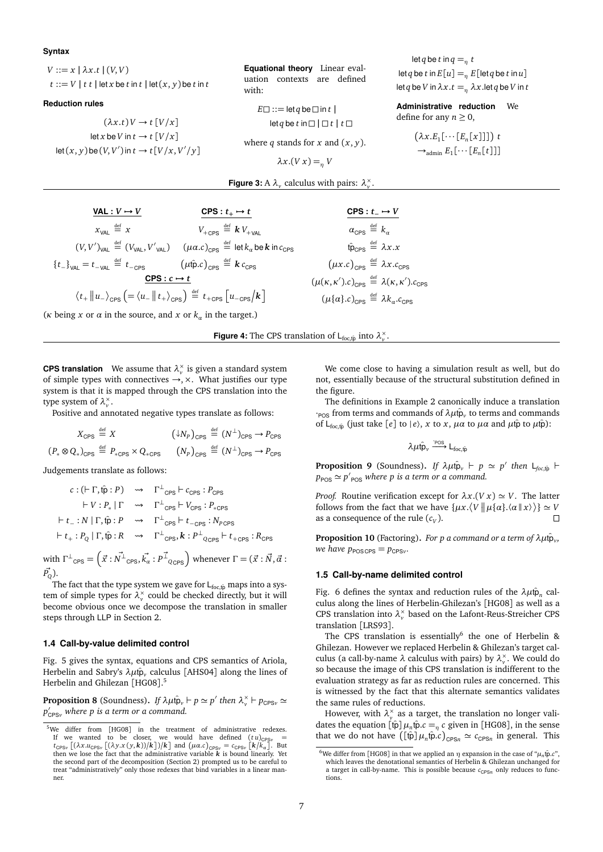**Syntax**

 $V ::= x \mid \lambda x. t \mid (V, V)$  $t := V | t t |$  let *x* be *t* in  $t |$  let  $(x, y)$  be  $t$  in  $t$ 

#### **Reduction rules**

 $(\lambda x.t)V \rightarrow t[V/x]$ let *x* be *V* in  $t \to t$   $\lceil V/x \rceil$  $\text{let}(x, y) \text{ be}(V, V') \text{ in } t \to t[V/x, V'/y]$  **Equational theory** Linear evaluation contexts are defined with:

> $E \Box ::= \text{let } q \text{ be } \Box$  in *t* |  $\left| \det q \right| \neq t$  in  $\Box$   $\vert \Box t \vert$   $t \Box$

where *q* stands for *x* and  $(x, y)$ .

<span id="page-7-2"></span> $λx.(Vx) = n V$ 

|  | <b>Figure 3:</b> A $\lambda_{\nu}$ calculus with pairs: $\lambda_{\nu}^{\times}$ . |  |  |
|--|------------------------------------------------------------------------------------|--|--|
|--|------------------------------------------------------------------------------------|--|--|

let *q* be *t* in  $q = \eta$  *t*  $\text{let } q \text{ be } t \text{ in } E[u] = n E[\text{let } q \text{ be } t \text{ in } u]$ let *q* be *V* in  $\lambda x. t = n \lambda x$ .let *q* be *V* in *t* 

**Administrative reduction** We define for any  $n \geq 0$ ,

> $(\lambda x.E_1[\cdots[E_n[x]]])$  *t*  $\rightarrow$ <sub>admin</sub>  $E_1[\cdots[E_n[t]]]$

| $VAL: V \rightarrow V$                                                                                                                                                         | CPS : $t_+ \rightarrow t$                                                                                              | $CPS: t \rightarrow V$                                                                                 |
|--------------------------------------------------------------------------------------------------------------------------------------------------------------------------------|------------------------------------------------------------------------------------------------------------------------|--------------------------------------------------------------------------------------------------------|
| $x_{\text{VAL}} \stackrel{\text{def}}{=} x$                                                                                                                                    | $V_{+CPS} \stackrel{\text{def}}{=} k V_{+VAL}$                                                                         | $\alpha_{\text{CPS}} \stackrel{\text{def}}{=} k_{\alpha}$                                              |
| $(V, V')_{\text{VAL}} \stackrel{\text{def}}{=} (V_{\text{VAL}}, V'_{\text{VAL}})$                                                                                              | $(\mu \alpha.c)_{\text{CPS}} \stackrel{\text{def}}{=} \text{let } k_{\alpha} \text{ be } k \text{ in } c_{\text{CPS}}$ | $t\hat{p}_{CPS} \stackrel{\text{def}}{=} \lambda x.x$                                                  |
| ${t_{-\}}_{\text{VAL}} = t_{-\text{VAL}} \stackrel{\text{def}}{=} t_{-\text{CPS}}$ $(\mu \hat{\mathbf{p}}. c)_{\text{CPS}} \stackrel{\text{def}}{=} \mathbf{k} c_{\text{CPS}}$ |                                                                                                                        | $(\mu x.c)_{\text{CPS}} \stackrel{\text{def}}{=} \lambda x.c_{\text{CPS}}$                             |
| $CPS: c \rightarrow t$                                                                                                                                                         |                                                                                                                        | $(\mu(\kappa,\kappa').c)_{\text{CPS}} \stackrel{\text{def}}{=} \lambda(\kappa,\kappa').c_{\text{CPS}}$ |
| $\langle t_+ \  u_- \rangle_{\text{CPS}} \left( = \langle u_- \  t_+ \rangle_{\text{CPS}} \right) \stackrel{\text{def}}{=} t_{+\text{CPS}} \left[ u_{-\text{CPS}} \right] k$   |                                                                                                                        | $(\mu\{\alpha\}.c)_{\text{CPS}} \stackrel{\text{def}}{=} \lambda k_{\alpha}.c_{\text{CPS}}$            |

(*κ* being *x* or  $\alpha$  in the source, and *x* or  $k_{\alpha}$  in the target.)

<span id="page-7-3"></span>**Figure 4:** The CPS translation of  $L_{\text{foc,fp}}$  into  $\lambda_v^{\times}$ .

**CPS translation** We assume that  $\lambda_{\nu}^{\times}$  is given a standard system of simple types with connectives  $\rightarrow$ ,  $\times$ . What justifies our type system is that it is mapped through the CPS translation into the type system of  $\lambda_{\nu}^{\times}$ .

Positive and annotated negative types translate as follows:

$$
X_{\text{CPS}} \stackrel{\text{def}}{=} X \qquad (\downarrow N_P)_{\text{CPS}} \stackrel{\text{def}}{=} (N^{\perp})_{\text{CPS}} \to P_{\text{CPS}}
$$

$$
(P_* \otimes Q_*)_{\text{CPS}} \stackrel{\text{def}}{=} P_*_{\text{CPS}} \times Q_*_{\text{CPS}} \qquad (N_P)_{\text{CPS}} \stackrel{\text{def}}{=} (N^{\perp})_{\text{CPS}} \to P_{\text{CPS}}
$$

Judgements translate as follows:

$$
c: (\vdash \Gamma, \hat{\mathfrak{p}}: P) \rightsquigarrow \Gamma^{\perp}{}_{\text{CPS}} \vdash c_{\text{CPS}}: P_{\text{CPS}}
$$
  
\n
$$
\vdash V: P_* \mid \Gamma \rightsquigarrow \Gamma^{\perp}{}_{\text{CPS}} \vdash V_{\text{CPS}}: P_{* \text{CPS}}
$$
  
\n
$$
\vdash t_-: N \mid \Gamma, \hat{\mathfrak{p}}: P \rightsquigarrow \Gamma^{\perp}{}_{\text{CPS}} \vdash t_{-\text{CPS}}: N_{\text{PCPS}}
$$
  
\n
$$
\vdash t_+: P_Q \mid \Gamma, \hat{\mathfrak{p}}: R \rightsquigarrow \Gamma^{\perp}{}_{\text{CPS}}, k: P^{\perp}{}_{\text{QCS}} \vdash t_{+\text{CPS}}: R_{\text{CPS}}
$$

with  $\Gamma^{\perp}$  <sub>CPS</sub> =  $\left( \vec{x} : \vec{N^{\perp}}$  <sub>CPS</sub> ,  $\vec{k_{\alpha}} : \vec{P^{\perp}}$   $_{QCPS}$   $\right)$  whenever  $\Gamma = (\vec{x} : \vec{N}, \vec{\alpha} : \vec{P}$  $\vec{P_Q}$ ).

The fact that the type system we gave for  $\mathsf{L}_{\mathsf{foc},\hat{\mathsf{fp}}}$  maps into a system of simple types for  $\lambda_v^{\times}$  could be checked directly, but it will become obvious once we decompose the translation in smaller steps through LLP in Section [2.](#page-9-0)

#### <span id="page-7-0"></span>**1.4 Call-by-value delimited control**

Fig. [5](#page-8-1) gives the syntax, equations and CPS semantics of Ariola, Herbelin and Sabry's  $\lambda \mu$ t $\hat{p}_\nu$  calculus [[AHS04](#page-13-2)] along the lines of Herbelin and Ghilezan [[HG08](#page-14-13)]. [5](#page-7-4)

**Proposition 8** (Soundness). *If*  $\lambda \mu \hat{\mathbf{p}}_v \vdash p \simeq p'$  then  $\lambda_v^{\times} \vdash p_{\text{CPS}v} \simeq$ *p* ′ CPS*<sup>v</sup> where p is a term or a command.*

We come close to having a simulation result as well, but do not, essentially because of the structural substitution defined in the figure.

The definitions in Example [2](#page-4-2) canonically induce a translation ·POS from terms and commands of *λµ*tpˆ *<sup>v</sup>* to terms and commands of L<sub>foc,tp</sub>̂ (just take [*e*] to  $|e\rangle$ , *x* to *x*,  $\mu\alpha$  to  $\mu\alpha$  and  $\mu$ tp̂ to  $\mu$ tp̂):

$$
\lambda \mu \hat{\mathfrak{p}}_{v} \xrightarrow{\text{pos}} \mathsf{L}_{\text{foc},\hat{\mathfrak{p}}}
$$

**Proposition 9** (Soundness). *If*  $\lambda \mu \hat{\mathbf{p}}_v \vdash p \simeq p'$  then  $\mathsf{L}_{\text{foc},\hat{\mathbf{p}}}$  $p_{\mathsf{POS}} \simeq p'_{\mathsf{POS}}$  where p is a term or a command.

*Proof.* Routine verification except for  $\lambda x.(Vx) \simeq V$ . The latter follows from the fact that we have  $\{ \mu x. \langle V | \mu \{ \alpha \}. \langle \alpha | \alpha \rangle \} \} \simeq V$ as a consequence of the rule  $(c_V)$ .  $\Box$ 

**Proposition 10** (Factoring). For p a command or a term of  $\lambda \mu$ t $\hat{\mathbf{p}}_v$ , *we have*  $p_{\text{POS} \cap \text{PS}} = p_{\text{CPS} \nu}$ *.* 

#### <span id="page-7-1"></span>**1.5 Call-by-name delimited control**

Fig. [6](#page-8-2) defines the syntax and reduction rules of the  $λμ$ tp<sup>ρ</sup><sub>n</sub> calculus along the lines of Herbelin-Ghilezan's [[HG08](#page-14-13)] as well as a CPS translation into  $\lambda_{\nu}^{\times}$  based on the Lafont-Reus-Streicher CPS translation [[LRS93](#page-14-6)].

The CPS translation is essentially<sup>[6](#page-7-5)</sup> the one of Herbelin & Ghilezan. However we replaced Herbelin & Ghilezan's target calculus (a call-by-name  $\lambda$  calculus with pairs) by  $\lambda_v^{\times}$ . We could do so because the image of this CPS translation is indifferent to the evaluation strategy as far as reduction rules are concerned. This is witnessed by the fact that this alternate semantics validates the same rules of reductions.

However, with  $\lambda_{\nu}^{\times}$  as a target, the translation no longer validates the equation  $[\hat{\mathfrak{p}}] \mu_n \hat{\mathfrak{p}} \cdot c =_n c$  given in [[HG08](#page-14-13)], in the sense that we do not have  $[(\hat{\mathbf{p}}] \mu_n \hat{\mathbf{p}} \cdot c]_{\text{CPSn}} \simeq c_{\text{CPSn}}$  in general. This

<span id="page-7-4"></span><sup>&</sup>lt;sup>5</sup>We differ from [[HG08](#page-14-13)] in the treatment of administrative redexes. If we wanted to be closer, we would have defined  $(tu)_{\text{CPSy}} = t_{\text{CPSy}} \left[ (\lambda x.u_{\text{CPSy}} \left[ (\lambda y.x(y, k)) / k \right] ) / k \right]$  and  $(\mu \alpha.c)_{\text{CPSy}} = c_{\text{CPSy}} \left[ k / k_a \right]$ . But then we lose the fact that the administrative variable k is bound treat "administratively" only those redexes that bind variables in a linear manner.

<span id="page-7-5"></span><sup>&</sup>lt;sup>6</sup>We differ from [[HG08](#page-14-13)] in that we applied an *η* expansion in the case of "*μ<sub>n</sub>*tρ̂.*c*", which leaves the denotational semantics of Herbelin & Ghilezan unchanged for a target in call-by-name. This is possible because  $c_{CPSn}$  only reduces to functions.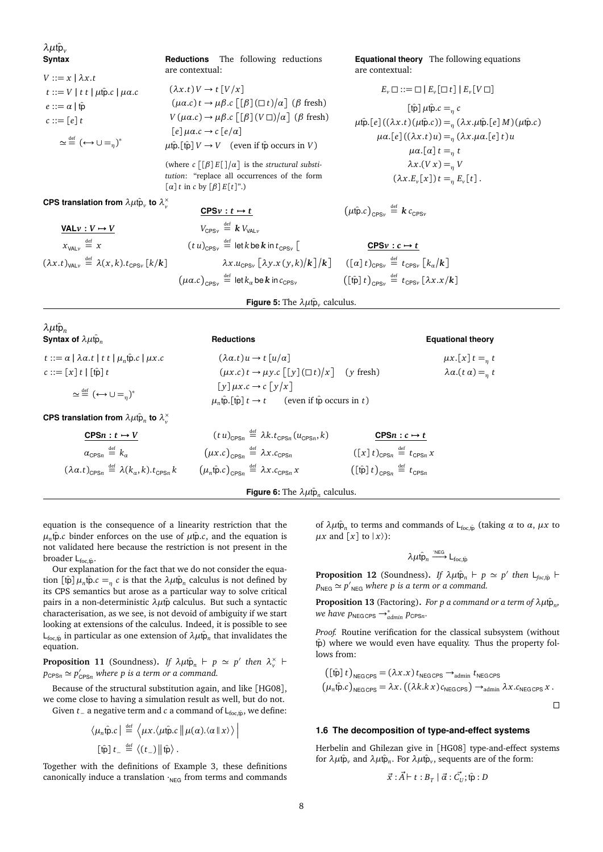| $\lambda \mu$ tp <sub>v</sub><br><b>Syntax</b><br>$V ::= x \mid \lambda x.t$                                                                                                                                                                                                                             | <b>Reductions</b> The following reductions<br>are contextual:                                                                                                                                                                                                                                                                                                                                                                                                                                                     | <b>Equational theory</b> The following equations<br>are contextual:                                                                                                                                                                                                                                                                                |  |  |
|----------------------------------------------------------------------------------------------------------------------------------------------------------------------------------------------------------------------------------------------------------------------------------------------------------|-------------------------------------------------------------------------------------------------------------------------------------------------------------------------------------------------------------------------------------------------------------------------------------------------------------------------------------------------------------------------------------------------------------------------------------------------------------------------------------------------------------------|----------------------------------------------------------------------------------------------------------------------------------------------------------------------------------------------------------------------------------------------------------------------------------------------------------------------------------------------------|--|--|
| $t ::= V   t t   \mu \hat{\mathbf{p}}. c   \mu \alpha. c$<br>$e ::= \alpha \mid \hat{tp}$<br>$c ::= [e] t$<br>$\simeq \stackrel{\text{def}}{=} (\leftrightarrow \cup =_n)^*$                                                                                                                             | $(\lambda x.t)V \rightarrow t[V/x]$<br>$(\mu \alpha.c)t \to \mu \beta.c \left[ \left[ \beta \right] (\Box t)/\alpha \right] (\beta \text{ fresh})$<br>$V(\mu\alpha.c) \rightarrow \mu\beta.c$ $\lceil \beta \rceil (V \square)/\alpha \rceil$ ( $\beta$ fresh)<br>$\lceil e \rceil \mu \alpha \ldots \rightarrow c \lceil e/\alpha \rceil$<br>$\mu$ tp̂.[tp̂] $V \rightarrow V$ (even if tp̂ occurs in V)<br>(where $c \left[ \left[ \beta \right] E \left[ \right] \right] / \alpha$ ) is the structural substi- | $E_v \square ::= \square   E_v [\square t]   E_v [V \square]$<br>$\left[\hat{\text{tp}}\right]\mu\hat{\text{tp}}.c =_n c$<br>$\mu$ fp.[e](( $\lambda x.t$ )( $\mu$ fp.c)) = $\lambda x.\mu$ fp.[e]M)( $\mu$ fp.c)<br>$\mu\alpha$ [e](( $\lambda x.t$ )u) = ( $\lambda x.\mu\alpha$ [e]t)u<br>$\mu\alpha.[\alpha]t =_n t$<br>$\lambda x.(Vx) =_n V$ |  |  |
| CPS translation from $\lambda \mu \hat{p}_v$ to $\lambda_v^{\times}$                                                                                                                                                                                                                                     | tution: "replace all occurrences of the form<br>$[\alpha]$ t in c by $[\beta]E[t]$ ".)<br>$CPSv : t \rightarrow t$                                                                                                                                                                                                                                                                                                                                                                                                | $(\lambda x.E_{\nu}[x])t =_{n} E_{\nu}[t].$<br>$(\mu \hat{\mathfrak{p}}.c)_{\text{CPS}_v} \stackrel{\text{def}}{=} \mathbf{k} c_{\text{CPS}_v}$                                                                                                                                                                                                    |  |  |
| $VALV: V \rightarrow V$<br>$x_{\text{VAL}} \stackrel{\text{def}}{=} x$<br>$(\lambda x.t)_{\text{VALV}} \stackrel{\text{def}}{=} \lambda(x,k).t_{\text{CPS}_V}[k/k]$                                                                                                                                      | $V_{\text{CPS}_V} \stackrel{\text{def}}{=} \mathbf{k} V_{\text{VALV}}$<br>$(tu)_{\text{CPSv}} \stackrel{\text{def}}{=} \text{let } k \text{ be } k \text{ in } t_{\text{CPSv}}$<br>$\lambda x.u_{\text{CPSv}} [\lambda y.x(y,k)/k]/k$ $\left( [\alpha] t \right)_{\text{CPSv}} \stackrel{\text{def}}{=} t_{\text{CPSv}} [k_{\alpha}/k]$                                                                                                                                                                           | $CPSv : c \rightarrow t$                                                                                                                                                                                                                                                                                                                           |  |  |
| $(\mu \alpha.c)_{\text{cps}} \stackrel{\text{def}}{=} \text{let } k_{\alpha} \text{ be } k \text{ in } c_{\text{cps}}$<br>$(\left[\hat{\mathfrak{tp}}\right]t)_{\text{CPSy}} \stackrel{\text{def}}{=} t_{\text{CPSy}}[\lambda x.x/\mathbf{k}]$<br><b>Figure 5:</b> The $\lambda \mu \hat{p}_v$ calculus. |                                                                                                                                                                                                                                                                                                                                                                                                                                                                                                                   |                                                                                                                                                                                                                                                                                                                                                    |  |  |
| $\lambda\mu$ tp <sub>n</sub><br><b>Syntax of</b> $\lambda \mu \hat{\mathfrak{p}}_n$                                                                                                                                                                                                                      | <b>Reductions</b>                                                                                                                                                                                                                                                                                                                                                                                                                                                                                                 | <b>Equational theory</b>                                                                                                                                                                                                                                                                                                                           |  |  |
| $t ::= \alpha   \lambda \alpha.t   t t   \mu_n$ tp.c   $\mu x.c$<br>$c ::= [x] t   [\hat{tp}] t$                                                                                                                                                                                                         | $(\lambda \alpha. t)u \rightarrow t \lceil u/\alpha \rceil$<br>$(\mu x.c)t \rightarrow \mu y.c$ $\lceil [y](\Box t)/x \rceil$ (y fresh)                                                                                                                                                                                                                                                                                                                                                                           | $\mu x.$ [x] $t =_n t$<br>$\lambda \alpha.(t \alpha) =_n t$                                                                                                                                                                                                                                                                                        |  |  |

 $\simeq$   $\stackrel{\text{def}}{=}$   $(\leftrightarrow \cup =_{\eta})^*$ 

CPS translation from  $\lambda\mu$ t $\widehat{\mathsf{p}}_n$  to  $\lambda_\nu^\times$ 

| $CPSn : t \rightarrow V$                                                                              | $(tu)_{\text{CPSn}} \stackrel{\text{def}}{=} \lambda k.t_{\text{CPSn}}(u_{\text{CPSn}}, k)$             | $CPSn : c \rightarrow t$                                                                                    |
|-------------------------------------------------------------------------------------------------------|---------------------------------------------------------------------------------------------------------|-------------------------------------------------------------------------------------------------------------|
| $\alpha_{\text{CPSn}} \stackrel{\text{def}}{=} k_{\alpha}$                                            | $(\mu x.c)_{\text{CPSn}} \stackrel{\text{def}}{=} \lambda x.c_{\text{CPSn}}$                            | $([x]t)_{\text{CPSn}} \stackrel{\text{def}}{=} t_{\text{CPSn}} x$                                           |
| $(\lambda \alpha.t)_{\text{CPSn}} \stackrel{\text{def}}{=} \lambda(k_{\alpha}, k). t_{\text{CPSn}} k$ | $(\mu_n \hat{\mathfrak{p}}.c)_{\mathsf{CPS} n} \stackrel{\text{def}}{=} \lambda x.c_{\mathsf{CPS} n} x$ | $(\left[\mathfrak{t}\hat{\mathfrak{p}}\right]t)_{\mathsf{CPSn}} \stackrel{\text{def}}{=} t_{\mathsf{CPSn}}$ |

<span id="page-8-1"></span> $[y] \mu x.c \rightarrow c \left[ y/x \right]$ 

<span id="page-8-2"></span>**Figure 6:** The  $\lambda \mu \hat{\mathbf{p}}_n$  calculus.

 $\mu_n$ t $\hat{\mathbf{p}}$ .[t $\hat{\mathbf{p}}$ ]  $t \to t$  (even if t $\hat{\mathbf{p}}$  occurs in *t*)

equation is the consequence of a linearity restriction that the  $\mu_n$ tp̂.*c* binder enforces on the use of  $\mu$ tp̂.*c*, and the equation is not validated here because the restriction is not present in the broader  $L_{\text{foc,fb}}$ .

Our explanation for the fact that we do not consider the equation  $[\hat{\text{tp}}] \mu_n \hat{\text{tp}}. c =_n c$  is that the  $\lambda \mu \hat{\text{tp}}_n$  calculus is not defined by its CPS semantics but arose as a particular way to solve critical pairs in a non-deterministic λμίρ calculus. But such a syntactic characterisation, as we see, is not devoid of ambiguity if we start looking at extensions of the calculus. Indeed, it is possible to see  $\mathsf{L}_{\text{foc},\hat{\mathsf{ip}}}$  in particular as one extension of  $\lambda\mu\hat{\mathsf{p}}_n$  that invalidates the equation.

**Proposition 11** (Soundness). *If*  $\lambda \mu \hat{p}_n \vdash p \simeq p'$  then  $\lambda_v^{\times} \vdash$  $p_{\text{CPSn}} \simeq p_{\text{CPSn}}'$  where p is a term or a command.

Because of the structural substitution again, and like [[HG08](#page-14-13)], we come close to having a simulation result as well, but do not.

Given  $t_$  a negative term and  $c$  a command of  $L_{\text{foc,fp}}$ , we define:

$$
\langle \mu_n \hat{\mathbf{p}}. c \mid \stackrel{\text{def}}{=} \langle \mu x. \langle \mu \hat{\mathbf{p}}. c \parallel \mu(\alpha). \langle \alpha \parallel x \rangle \rangle \mid
$$
  
[ $\hat{\mathbf{t}} \hat{\mathbf{p}} \rbrack t_{-} \stackrel{\text{def}}{=} \langle (t_{-}) \parallel \hat{\mathbf{t}} \hat{\mathbf{p}} \rangle .$ 

Together with the definitions of Example [3,](#page-4-3) these definitions canonically induce a translation  $\cdot$ <sub>NEG</sub> from terms and commands

of  $λμ$ tp�<sub>*n*</sub> to terms and commands of L<sub>foc,tp̂</sub> (taking *α* to *α*, *μx* to  $\mu x$  and  $[x]$  to  $|x\rangle$ ):

 $\lambda \mu \hat{\mathfrak{p}}_n \xrightarrow{\text{neg}} \mathsf{L}_{\text{foc},\hat{\mathfrak{p}}}$ 

**Proposition 12** (Soundness). *If*  $\lambda \mu \hat{p}_n \vdash p \simeq p'$  then  $L_{foc,\hat{p}}$  $p_{\text{NEG}} \simeq p'_{\text{NEG}}$  where p is a term or a command.

**Proposition 13** (Factoring). For p a command or a term of  $\lambda \mu \hat{\mathfrak{p}}_n$ ,  $we$  *have <code>p<sub>NEGCPS</sub>*  $\rightarrow$   $^{*}_{admin}$  *p*cpsn·</code>

*Proof.* Routine verification for the classical subsystem (without  $t\hat{p}$ ) where we would even have equality. Thus the property follows from:

 $(\hat{f}(\hat{f}) \mid t)_{\text{NEGCPS}} = (\lambda x.x) t_{\text{NEGCPS}} \rightarrow_{\text{admin}} t_{\text{NEGCPS}}$  $(\mu_n \hat{\mathbf{p}}. c)_{\text{NEGCPS}} = \lambda x$ .  $((\lambda k.k x) c_{\text{NEGCPS}}) \rightarrow_{\text{admin}} \lambda x . c_{\text{NEGCPS}} x$ .

### $\Box$

#### <span id="page-8-0"></span>**1.6 The decomposition of type-and-effect systems**

Herbelin and Ghilezan give in [[HG08](#page-14-13)] type-and-effect systems for  $\lambda \mu$ tp<sup>γ</sup>, and  $\lambda \mu$ tp<sup>γ</sup>, For  $\lambda \mu$ tp<sup>γ</sup>, sequents are of the form:

$$
\vec{x} : \vec{A} \vdash t : B_T \mid \vec{a} : \vec{C}_U; \hat{\mathfrak{p}} : D
$$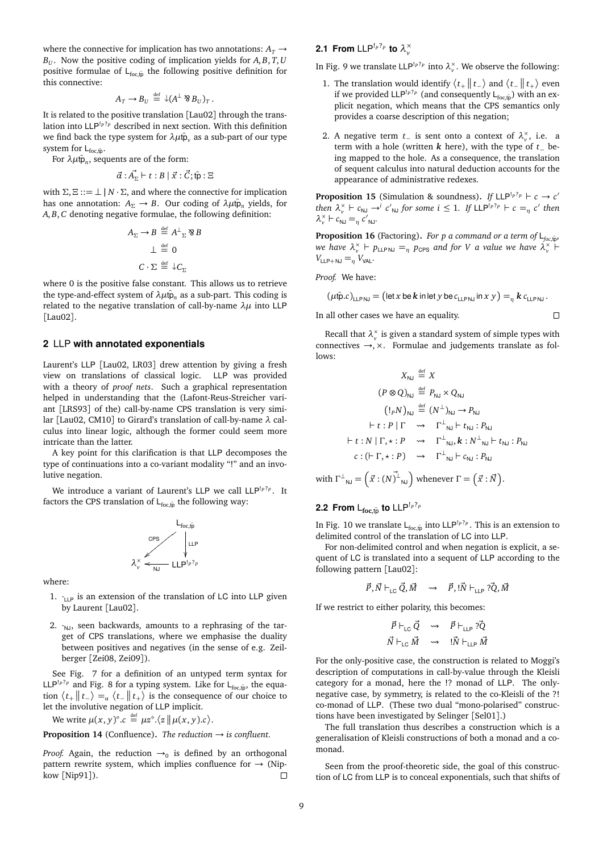where the connective for implication has two annotations:  $A_T\to$  $B_U$ . Now the positive coding of implication yields for *A*, *B*, *T*, *U* positive formulae of  $L_{foc,fp}$  the following positive definition for this connective:

$$
A_T \to B_U \stackrel{\text{def}}{=} \mathcal{A}(A^\perp \otimes B_U)_T
$$

.

It is related to the positive translation [[Lau02](#page-14-11)] through the translation into LLP<sup>1<sub>p?p</sub></sup> described in next section. With this definition we find back the type system for  $λμ$ tp�<sup>ν</sup><sub>v</sub> as a sub-part of our type system for  $L_{\text{foc,fp}}$ .

For  $\lambda \mu \hat{\mathfrak{p}}_n$ , sequents are of the form:

$$
\vec{a}:\vec{A}_{\Sigma}\vdash t:B\mid \vec{x}:\vec{C};\hat{\mathfrak{p}}:\Xi
$$

with  $\Sigma$ ,  $\Xi$  ::=  $\bot$  |  $N \cdot \Sigma$ , and where the connective for implication has one annotation:  $A_\Sigma \rightarrow B$ . Our coding of  $\lambda \mu \hat{\mathfrak{p}}_n$  yields, for *A*, *B*, *C* denoting negative formulae, the following definition:

$$
A_{\Sigma} \to B \stackrel{\text{def}}{=} A^{\perp}_{\Sigma} \otimes B
$$

$$
\perp \stackrel{\text{def}}{=} 0
$$

$$
C \cdot \Sigma \stackrel{\text{def}}{=} \downarrow C_{\Sigma}
$$

where 0 is the positive false constant*.* This allows us to retrieve the type-and-effect system of  $\lambda \mu \hat{\mathfrak{p}}_n$  as a sub-part. This coding is related to the negative translation of call-by-name *λµ* into LLP [[Lau02](#page-14-11)].

#### <span id="page-9-0"></span>**2** LLP **with annotated exponentials**

Laurent's LLP [[Lau02,](#page-14-11) [LR03](#page-14-30)] drew attention by giving a fresh view on translations of classical logic. LLP was provided with a theory of *proof nets*. Such a graphical representation helped in understanding that the (Lafont-Reus-Streicher variant [[LRS93](#page-14-6)] of the) call-by-name CPS translation is very similar [[Lau02,](#page-14-11) [CM10](#page-14-29)] to Girard's translation of call-by-name *λ* calculus into linear logic, although the former could seem more intricate than the latter.

A key point for this clarification is that LLP decomposes the type of continuations into a co-variant modality "!" and an involutive negation.

We introduce a variant of Laurent's LLP we call LLP<sup>1<sub>p?p</sub></sup>. It factors the CPS translation of  $L_{foc,fp}$  the following way:



where:

- 1.  $\cdot$ <sub>LLP</sub> is an extension of the translation of LC into LLP given by Laurent [[Lau02](#page-14-11)].
- 2.  $\cdot_{\text{NJ}}$ , seen backwards, amounts to a rephrasing of the target of CPS translations, where we emphasise the duality between positives and negatives (in the sense of e.g. Zeilberger [[Zei08,](#page-14-31) [Zei09](#page-14-32)]).

See Fig. [7](#page-10-0) for a definition of an untyped term syntax for LLP<sup>*!p?p*</sup> and Fig. [8](#page-10-1) for a typing system. Like for  $L_{\text{foc,fp}}$ , the equation  $\langle t_+ \| t_- \rangle =_{\alpha} \langle t_- \| t_+ \rangle$  is the consequence of our choice to let the involutive negation of LLP implicit.

We write  $\mu(x, y)$ °. $c \stackrel{\text{def}}{=} \mu z$ °. $\langle z \mid \mid \mu(x, y).c \rangle$ .

**Proposition 14** (Confluence)**.** *The reduction* → *is confluent.*

*Proof.* Again, the reduction  $\rightarrow_0$  is defined by an orthogonal pattern rewrite system, which implies confluence for  $\rightarrow$  (Nipkow [[Nip91](#page-14-23)]).  $\Box$ 

### <span id="page-9-1"></span>**2.1** From LLP<sup>!<sub>P</sub>?<sub>P</sub></sup> to  $\lambda_{\nu}^{\times}$

In Fig. [9](#page-10-2) we translate  $LLP^{1p^2p}$  into  $\lambda_v^{\times}$ . We observe the following:

- 1. The translation would identify  $\langle t_+ | t_- \rangle$  and  $\langle t_- | t_+ \rangle$  even if we provided LLP<sup>*Ip?p*</sup> (and consequently  $L_{\text{foc},\text{fp}}$ ) with an explicit negation, which means that the CPS semantics only provides a coarse description of this negation;
- 2. A negative term  $t_$  is sent onto a context of  $\lambda_{\nu}^{\times}$ , i.e. a term with a hole (written *k* here), with the type of *t*<sup>−</sup> being mapped to the hole. As a consequence, the translation of sequent calculus into natural deduction accounts for the appearance of administrative redexes.

**Proposition 15** (Simulation & soundness). *If* LLP<sup>1*p*?*p*</sup>  $\vdash$  *c*  $\rightarrow$  *c*<sup>*'*</sup> *then*  $\lambda_v^{\times} \vdash c_{\text{NJ}} \rightarrow^i c'_{\text{NJ}}$  *for some*  $i \leq 1$ *. If*  $LLP^{!p^2p} \vdash c =_p c'$  *then*  $\lambda_v^{\times} \vdash c_{\text{NJ}} =_0 c'_{\text{NJ}}.$ 

**Proposition 16** (Factoring). *For p a command or a term of*  $L_{foc,fp}$ *, we have*  $\lambda_v^{\times} \vdash p_{\text{LLPNJ}} =_{\eta} p_{\text{CPS}}$  *and for V a value we have*  $\lambda_v^{\times} \vdash$  $V_{\text{LLP+NJ}} =_{\eta} V_{\text{VAL}}.$ 

*Proof.* We have:

$$
(\mu \hat{\mathfrak{p}}. c)_{\mathsf{LLPNJ}} = (\mathsf{let} \, x \, \mathsf{be} \, k \, \mathsf{in} \, \mathsf{let} \, y \, \mathsf{be} \, c_{\mathsf{LLPNJ}} \, \mathsf{in} \, x \, y) =_n k \, c_{\mathsf{LLPNJ}}.
$$

In all other cases we have an equality.

Recall that  $\lambda_{\nu}^{\times}$  is given a standard system of simple types with connectives  $\rightarrow$ ,  $\times$ . Formulae and judgements translate as follows:

 $\Box$ 

$$
X_{\text{NJ}} \stackrel{\text{def}}{=} X
$$
\n
$$
(P \otimes Q)_{\text{NJ}} \stackrel{\text{def}}{=} P_{\text{NJ}} \times Q_{\text{NJ}}
$$
\n
$$
(\mathbf{1}_P N)_{\text{NJ}} \stackrel{\text{def}}{=} (N^{\perp})_{\text{NJ}} \rightarrow P_{\text{NJ}}
$$
\n
$$
\vdash t : P \mid \Gamma \quad \leadsto \quad \Gamma^{\perp}_{\text{NJ}} \vdash t_{\text{NJ}} : P_{\text{NJ}}
$$
\n
$$
\vdash t : N \mid \Gamma, \star : P \quad \leadsto \quad \Gamma^{\perp}_{\text{NJ}} \cdot k : N^{\perp}_{\text{NJ}} \vdash t_{\text{NJ}} : P_{\text{NJ}}
$$
\n
$$
c : (\vdash \Gamma, \star : P) \quad \leadsto \quad \Gamma^{\perp}_{\text{NJ}} \vdash c_{\text{NJ}} : P_{\text{NJ}}
$$

with  $\Gamma^{\perp}{}_{\mathsf{NJ}} = (\vec{x}:(N)^{\perp}{}_{\mathsf{NJ}})$  whenever  $\Gamma = (\vec{x}:\vec{N})$ .

<span id="page-9-2"></span>**2.2 From**  $L_{\text{foc,th}}$  to  $LLP^{!p^2p}$ 

In Fig. [10](#page-11-3) we translate  $L_{\text{foc,fp}}$  into  $LLP^{lp2p}$ . This is an extension to delimited control of the translation of LC into LLP.

For non-delimited control and when negation is explicit, a sequent of LC is translated into a sequent of LLP according to the following pattern [[Lau02](#page-14-11)]:

$$
\vec{P}, \vec{N} \vdash_{\mathsf{LC}} \vec{Q}, \vec{M} \quad \leadsto \quad \vec{P}, \vec{N} \vdash_{\mathsf{LLP}} \vec{?Q}, \vec{M}
$$

If we restrict to either polarity, this becomes:

$$
\vec{P} \vdash_{\mathsf{LC}} \vec{Q} \quad \leadsto \quad \vec{P} \vdash_{\mathsf{LLP}} ?\vec{Q}
$$
\n
$$
\vec{N} \vdash_{\mathsf{LC}} \vec{M} \quad \leadsto \quad \vec{N} \vdash_{\mathsf{LLP}} \vec{M}
$$

For the only-positive case, the construction is related to Moggi's description of computations in call-by-value through the Kleisli category for a monad, here the !? monad of LLP. The onlynegative case, by symmetry, is related to the co-Kleisli of the ?! co-monad of LLP. (These two dual "mono-polarised" constructions have been investigated by Selinger [[Sel01](#page-14-7)].)

The full translation thus describes a construction which is a generalisation of Kleisli constructions of both a monad and a comonad.

Seen from the proof-theoretic side, the goal of this construction of LC from LLP is to conceal exponentials, such that shifts of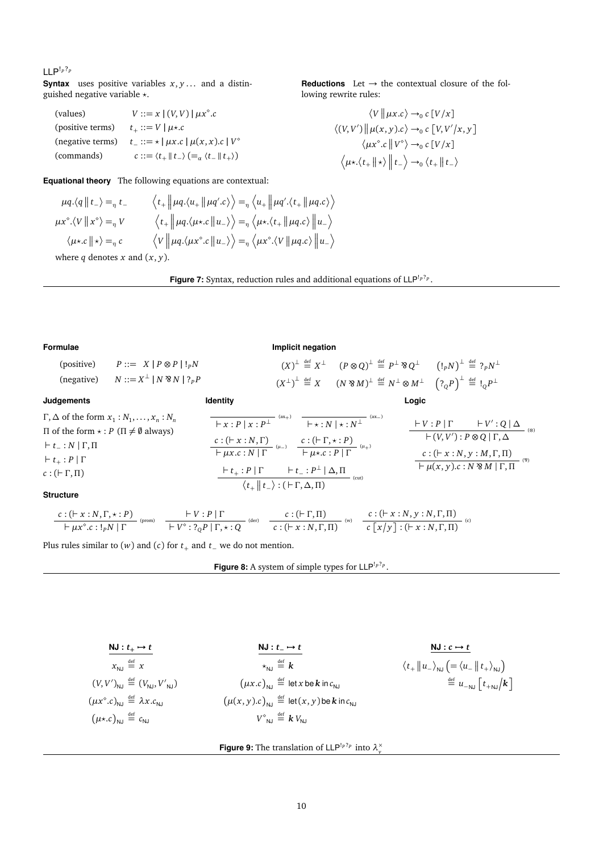#### LLP!*<sup>P</sup>* ?*<sup>P</sup>*

**Syntax** uses positive variables  $x, y, \ldots$  and a distinguished negative variable *⋆*.

| (values)         | $V ::= x   (V, V)   \mu x^{\circ}.c$                                                   |
|------------------|----------------------------------------------------------------------------------------|
| (positive terms) | $t_{\perp} ::= V \mid \mu \star c$                                                     |
|                  | (negative terms) $t_{-} ::= \star   \mu x.c   \mu(x,x).c   V^{\circ}$                  |
| (commands)       | $c ::= \langle t_+ \parallel t_- \rangle (=_\alpha \langle t_- \parallel t_+ \rangle)$ |

**Equational theory** The following equations are contextual:

$$
\mu q.\langle q \parallel t_{-}\rangle =_{\eta} t_{-} \qquad \langle t_{+} \parallel \mu q.\langle u_{+} \parallel \mu q'.c\rangle \rangle =_{\eta} \langle u_{+} \parallel \mu q'.\langle t_{+} \parallel \mu q.c \rangle \rangle
$$
  

$$
\mu x^{\circ}.\langle V \parallel x^{\circ} \rangle =_{\eta} V \qquad \langle t_{+} \parallel \mu q.\langle \mu x.c \parallel u_{-} \rangle \rangle =_{\eta} \langle \mu x.\langle t_{+} \parallel \mu q.c \rangle \parallel u_{-} \rangle
$$
  

$$
\langle \mu x.c \parallel x \rangle =_{\eta} c \qquad \langle V \parallel \mu q.\langle \mu x^{\circ}.c \parallel u_{-} \rangle \rangle =_{\eta} \langle \mu x^{\circ}. \langle V \parallel \mu q.c \rangle \parallel u_{-} \rangle
$$

where  $q$  denotes  $x$  and  $(x, y)$ .

<span id="page-10-0"></span>Figure 7: Syntax, reduction rules and additional equations of LLP<sup>!<sub>P</sub>?</sup>P.

| Formulae<br>Implicit negation                                                                                                                                                                                                                                                                                                                                                                       |                 |                                                                                                                                                                                                                                                                                                                                                                                  |                                                                                                         |  |
|-----------------------------------------------------------------------------------------------------------------------------------------------------------------------------------------------------------------------------------------------------------------------------------------------------------------------------------------------------------------------------------------------------|-----------------|----------------------------------------------------------------------------------------------------------------------------------------------------------------------------------------------------------------------------------------------------------------------------------------------------------------------------------------------------------------------------------|---------------------------------------------------------------------------------------------------------|--|
| (positive) $P ::= X   P \otimes P   \cdot_{P} N$<br>(negative) $N ::= X^{\perp}   N \otimes N   ?_p P$                                                                                                                                                                                                                                                                                              |                 | $(X)^{\perp} \stackrel{\text{def}}{=} X^{\perp}$ $(P \otimes Q)^{\perp} \stackrel{\text{def}}{=} P^{\perp} \otimes Q^{\perp}$ $(!_pN)^{\perp} \stackrel{\text{def}}{=} ?_pN^{\perp}$<br>$(X^{\perp})^{\perp} \stackrel{\text{def}}{=} X$ $(N \otimes M)^{\perp} \stackrel{\text{def}}{=} N^{\perp} \otimes M^{\perp}$ $(?_{O}P)^{\perp} \stackrel{\text{def}}{=} 1_{O}P^{\perp}$ |                                                                                                         |  |
| Judgements                                                                                                                                                                                                                                                                                                                                                                                          | <b>Identity</b> | Logic                                                                                                                                                                                                                                                                                                                                                                            |                                                                                                         |  |
| $\Gamma, \Delta$ of the form $x_1 : N_1, \ldots, x_n : N_n$<br>$\Pi$ of the form $\star$ : $P$ ( $\Pi \neq \emptyset$ always)<br>$\vdash t_- : N \mid \Gamma, \Pi$<br>$\vdash t_{+} : P   \Gamma$<br>$c: (\vdash \Gamma, \Pi)$<br><b>Structure</b>                                                                                                                                                  |                 | $\frac{\vdash t_{+}:P\mid\Gamma\qquad\vdash t_{-}:P^{\perp}\mid\Delta,\Pi}{\langle t_{+}\parallel t_{-}\rangle:(\vdash\Gamma,\Delta,\Pi)}\xrightarrow{\text{(cut)}}$                                                                                                                                                                                                             | $\frac{c:(\vdash x:N,y:M,\Gamma,\Pi)}{\vdash \mu(x,y).c:N\mathcal{B}M\mid\Gamma,\Pi} \quad \text{``$)}$ |  |
| $\frac{c:(\vdash x:N,\Gamma,\star:P)}{\vdash \mu x^{\circ}.c:\mathbb{I}_p N \mid \Gamma} \xrightarrow{(\text{prom})} \frac{\vdash V:P \mid \Gamma}{\vdash V^{\circ}:\mathbb{I}_Q P \mid \Gamma,\star:Q} \xrightarrow{(\text{der})} \frac{c:(\vdash \Gamma,\Pi)}{c:(\vdash x:N,\Gamma,\Pi)} \xrightarrow{(\text{w})} \frac{c:(\vdash x:N,y:N,\Gamma,\Pi)}{c \mid x/y \mid :(\vdash x:N,\Gamma,\Pi)}$ |                 |                                                                                                                                                                                                                                                                                                                                                                                  |                                                                                                         |  |
| Plus rules similar to $(w)$ and $(c)$ for $t_+$ and $t_-$ we do not mention.                                                                                                                                                                                                                                                                                                                        |                 |                                                                                                                                                                                                                                                                                                                                                                                  |                                                                                                         |  |

<span id="page-10-1"></span>**Figure 8:** A system of simple types for LLP<sup>1p?p</sup>.

| $\mathsf{NJ}:t_+\mapsto t$                                                           | $NJ: t_{-} \rightarrow t$                                                                         | $NJ : c \rightarrow t$                                                                       |
|--------------------------------------------------------------------------------------|---------------------------------------------------------------------------------------------------|----------------------------------------------------------------------------------------------|
| $x_{N,l} \stackrel{\text{def}}{=} x$                                                 | $x_{N,1} \stackrel{\text{def}}{=} k$                                                              | $\langle t_+    u_- \rangle_{\rm NJ}$ $\left( = \langle u_-    t_+ \rangle_{\rm NJ} \right)$ |
| $(V, V')_{N,l} \stackrel{\text{def}}{=} (V_{N,l}, V'_{N,l})$                         | $(\mu x.c)_{N,l} \stackrel{\text{def}}{=} \text{let } x \text{ be } k \text{ in } c_{N,l}$        | $\stackrel{\text{def}}{=} u_{-N} \left[ t_{+N} / k \right]$                                  |
| $(\mu x^{\circ}.c)_{\mathsf{NJ}} \stackrel{\text{def}}{=} \lambda x.c_{\mathsf{NJ}}$ | $(\mu(x, y).c)_{N,l} \stackrel{\text{def}}{=} \text{let}(x, y) \text{ be } k \text{ in } c_{N,l}$ |                                                                                              |
| $(\mu \star c)_{\text{NJ}} \stackrel{\text{def}}{=} c_{\text{NJ}}$                   | $V^{\diamond}{}_{N\perp} \stackrel{\text{def}}{=} k V_{N\perp}$                                   |                                                                                              |
|                                                                                      |                                                                                                   |                                                                                              |

<span id="page-10-2"></span>**Figure 9:** The translation of LLP<sup>*!p?p*</sup> into  $\lambda_{\nu}^{\times}$ 

$$
\langle V \parallel \mu x.c \rangle \rightarrow_0 c [V/x]
$$
  

$$
\langle (V, V') \parallel \mu(x, y).c \rangle \rightarrow_0 c [V, V'/x, y]
$$
  

$$
\langle \mu x^{\circ}.c \parallel V^{\circ} \rangle \rightarrow_0 c [V/x]
$$
  

$$
\langle \mu x. \langle t_+ \parallel x \rangle \parallel t_- \rangle \rightarrow_0 \langle t_+ \parallel t_- \rangle
$$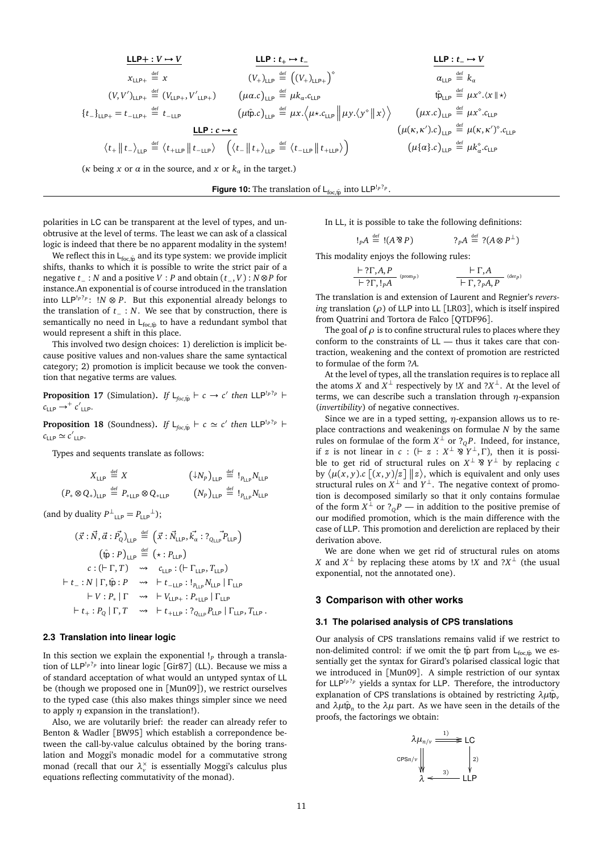| LLP + : V \rightarrow V                                                                                            | LLP : t <sub>+</sub> $\rightarrow$ t                                                                                                                        | LLP : t <sub>-</sub> $\rightarrow$ V                                                           |
|--------------------------------------------------------------------------------------------------------------------|-------------------------------------------------------------------------------------------------------------------------------------------------------------|------------------------------------------------------------------------------------------------|
| $x_{LLP+}$ $\stackrel{\text{def}}{=} x$                                                                            | $(V_{+})_{LLP} \stackrel{\text{def}}{=} ((V_{+})_{LLP+})^{\circ}$                                                                                           | $\alpha_{LLP} \stackrel{\text{def}}{=} k_{\alpha}$                                             |
| $(V, V')_{LLP+}$ $(V_{LLP+}, V'_{LLP+})$                                                                           | $(\mu \alpha.c)_{LLP} \stackrel{\text{def}}{=} \mu k_{\alpha.c_{LLP}$                                                                                       | $\hat{v}_{LLP} \stackrel{\text{def}}{=} \mu x^{\circ} \cdot \langle x \parallel \star \rangle$ |
| $\{t_{-}\}_{LLP+}$ $= t_{-LLP+}$ $\stackrel{\text{def}}{=} t_{-LLP}$                                               | $(\mu \hat{v}, c)_{LLP} \stackrel{\text{def}}{=} \mu x \cdot \langle \mu \star c_{LLP} \parallel \mu y \cdot \langle y^{\circ} \parallel x \rangle \rangle$ | $(\mu x.c)_{LLP} \stackrel{\text{def}}{=} \mu x^{\circ} \cdot c_{LLP}$                         |
| $\langle t_{+} \parallel t_{-} \rangle_{LLP} \stackrel{\text{def}}{=} \langle t_{+LLP} \parallel t_{-LLP} \rangle$ | $(\langle t_{-} \parallel t_{+} \rangle_{LLP} \stackrel{\text{def}}{=} \langle t_{-LLP} \parallel t_{+LLP} \rangle)$                                        | $(\mu \{ \alpha \} . c)_{LLP} \stackrel{\text{def}}{=} \mu k_{\alpha}^{\circ} . c_{LLP}$       |

(*κ* being *x* or  $\alpha$  in the source, and *x* or  $k_{\alpha}$  in the target.)

<span id="page-11-3"></span>**Figure 10:** The translation of  $\mathsf{L}_{\text{foc},\hat{\mathfrak{p}}}$  into  $\mathsf{LLP}^{\mathsf{I}_p\gamma_p}$ .

polarities in LC can be transparent at the level of types, and unobtrusive at the level of terms. The least we can ask of a classical logic is indeed that there be no apparent modality in the system!

We reflect this in  $L_{foc,fp}$  and its type system: we provide implicit shifts, thanks to which it is possible to write the strict pair of a negative *t*<sup>−</sup> : *N* and a positive *V* : *P* and obtain (*t*−, *V*) : *N* ⊗*P* for instance.An exponential is of course introduced in the translation into  $LLP^{1p^2p}$ : *!N*  $\otimes P$ . But this exponential already belongs to the translation of *t*<sup>−</sup> : *N*. We see that by construction, there is semantically no need in  $L_{foc,fp}$  to have a redundant symbol that would represent a shift in this place.

This involved two design choices: 1) dereliction is implicit because positive values and non-values share the same syntactical category; 2) promotion is implicit because we took the convention that negative terms are values*.*

**Proposition 17** (Simulation). *If*  $L_{foc, f\hat{p}} \vdash c \rightarrow c'$  *then* LLP<sup>*!p?p*</sup> ⊢  $c_{\text{LLP}} \rightarrow^+ c'_{\text{LLP}}.$ 

**Proposition 18** (Soundness). *If*  $L_{foc,\hat{p}} \vdash c \simeq c'$  *then* LLP<sup>!*p*?*p*</sup>  $\vdash$  $c_{\text{LLP}} \simeq c'_{\text{LLP}}.$ 

Types and sequents translate as follows:

$$
X_{\text{LLP}} \stackrel{\text{def}}{=} X \qquad (\downarrow N_P)_{\text{LLP}} \stackrel{\text{def}}{=} \begin{cases} P_{\text{LLP}} N_{\text{LLP}} \\ \text{def } P_{\text{KLP}} \otimes Q_{\text{KLP}} \end{cases}
$$

 $(\text{and by duality } P^{\perp}{}_{\text{LLP}} = P_{\text{LLP}}^{\perp});$ 

$$
(\vec{x} : \vec{N}, \vec{\alpha} : \vec{P_Q})_{\text{LLP}} \stackrel{\text{def}}{=} (\vec{x} : \vec{N}_{\text{LLP}}, \vec{k_{\alpha}} : ?_{Q_{\text{LLP}}} \vec{P}_{\text{LLP}})
$$
  
\n
$$
(\hat{\mathfrak{p}} : P)_{\text{LLP}} \stackrel{\text{def}}{=} (\star : P_{\text{LLP}})
$$
  
\n
$$
c : (\vdash \Gamma, T) \quad \leadsto \quad c_{\text{LLP}} : (\vdash \Gamma_{\text{LLP}}, T_{\text{LLP}})
$$
  
\n
$$
\vdash t_- : N \mid \Gamma, \hat{\mathfrak{p}} : P \quad \leadsto \quad \vdash t_{-\text{LLP}} : !_{P_{\text{LLP}}} N_{\text{LLP}} \mid \Gamma_{\text{LLP}}
$$
  
\n
$$
\vdash V : P_* \mid \Gamma \quad \leadsto \quad \vdash V_{\text{LLP+}} : P_{*\text{LLP}} \mid \Gamma_{\text{LLP}}
$$
  
\n
$$
\vdash t_+ : P_Q \mid \Gamma, T \quad \leadsto \quad \vdash t_{\text{LLP}} : ?_{Q_{\text{LLP}}} P_{\text{LLP}} \mid \Gamma_{\text{LLP}}, T_{\text{LLP}}, T_{\text{LLP}}.
$$

#### <span id="page-11-0"></span>**2.3 Translation into linear logic**

In this section we explain the exponential !<sub>*P*</sub> through a transla-tion of LLP<sup>!<sub>P</sub>?<sub>P</sub></sup> into linear logic [[Gir87](#page-14-0)] (LL). Because we miss a of standard acceptation of what would an untyped syntax of LL be (though we proposed one in [[Mun09](#page-14-10)]), we restrict ourselves to the typed case (this also makes things simpler since we need to apply *η* expansion in the translation!).

Also, we are volutarily brief: the reader can already refer to Benton & Wadler [[BW95](#page-14-19)] which establish a correpondence between the call-by-value calculus obtained by the boring translation and Moggi's monadic model for a commutative strong monad (recall that our  $\lambda_{\nu}^{\times}$  is essentially Moggi's calculus plus equations reflecting commutativity of the monad).

In LL, it is possible to take the following definitions:

$$
!_P A \stackrel{\text{def}}{=} !(A \otimes P)
$$
  $?_P A \stackrel{\text{def}}{=} ?(A \otimes P^{\perp})$ 

This modality enjoys the following rules:

$$
\frac{\vdash \mathsf{?}\Gamma,A,P}{\vdash \mathsf{?}\Gamma,\mathsf{!}_p A} \xrightarrow{\text{(promp)}} \frac{\vdash \Gamma,A}{\vdash \Gamma, \mathsf{?}_p A,P} \xrightarrow{\text{(derp)}}
$$

The translation is and extension of Laurent and Regnier's *reversing* translation ( $\rho$ ) of LLP into LL [[LR03](#page-14-30)], which is itself inspired from Quatrini and Tortora de Falco [[QTDF96](#page-14-33)].

The goal of  $\rho$  is to confine structural rules to places where they conform to the constraints of LL — thus it takes care that contraction, weakening and the context of promotion are restricted to formulae of the form ?*A*.

At the level of types, all the translation requires is to replace all the atoms *X* and  $X^{\perp}$  respectively by !*X* and ? $X^{\perp}$ . At the level of terms, we can describe such a translation through *η*-expansion (*invertibility*) of negative connectives.

Since we are in a typed setting, *η*-expansion allows us to replace contractions and weakenings on formulae *N* by the same rules on formulae of the form  $X^{\perp}$  or  $?_{Q}P$ . Indeed, for instance, if *z* is not linear in *c* : ( $\vdash$  *z* :  $X^{\perp}$   $\mathcal{R}$   $Y^{\perp}$ ,  $\Gamma$ ), then it is possible to get rid of structural rules on  $X^{\perp}$  <sup>3</sup>8  $Y^{\perp}$  by replacing *c* by  $\langle \mu(x, y) \cdot c \left[ (x, y) / z \right] | z \rangle$ , which is equivalent and only uses structural rules on  $X^{\perp}$  and  $Y^{\perp}$ . The negative context of promotion is decomposed similarly so that it only contains formulae of the form  $X^{\perp}$  or  $?_{Q}P$  — in addition to the positive premise of our modified promotion, which is the main difference with the case of LLP. This promotion and dereliction are replaced by their derivation above.

We are done when we get rid of structural rules on atoms *X* and  $X^{\perp}$  by replacing these atoms by !*X* and ? $X^{\perp}$  (the usual exponential, not the annotated one).

#### <span id="page-11-1"></span>**3 Comparison with other works**

#### <span id="page-11-2"></span>**3.1 The polarised analysis of CPS translations**

Our analysis of CPS translations remains valid if we restrict to non-delimited control: if we omit the tp̂ part from  $L_{\text{foc,fb}}$  we essentially get the syntax for Girard's polarised classical logic that we introduced in [[Mun09](#page-14-10)]. A simple restriction of our syntax for LLP<sup>!p?p</sup> yields a syntax for LLP. Therefore, the introductory explanation of CPS translations is obtained by restricting  $\lambda \mu \hat{\mathbf{p}}$ <sub>*v*</sub> and  $\lambda \mu \hat{\mathfrak{p}}_n$  to the  $\lambda \mu$  part. As we have seen in the details of the proofs, the factorings we obtain:

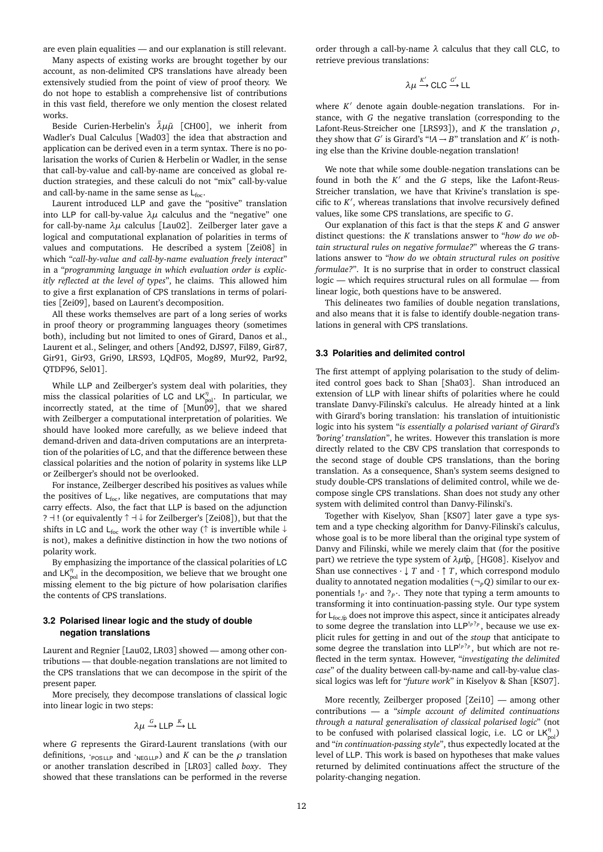are even plain equalities — and our explanation is still relevant.

Many aspects of existing works are brought together by our account, as non-delimited CPS translations have already been extensively studied from the point of view of proof theory. We do not hope to establish a comprehensive list of contributions in this vast field, therefore we only mention the closest related works.

Beside Curien-Herbelin's  $\bar{\lambda} \mu \tilde{\mu}$  [[CH00](#page-14-4)], we inherit from Wadler's Dual Calculus [[Wad03](#page-14-24)] the idea that abstraction and application can be derived even in a term syntax. There is no polarisation the works of Curien & Herbelin or Wadler, in the sense that call-by-value and call-by-name are conceived as global reduction strategies, and these calculi do not "mix" call-by-value and call-by-name in the same sense as  $L_{\text{foc}}$ .

Laurent introduced LLP and gave the "positive" translation into LLP for call-by-value *λµ* calculus and the "negative" one for call-by-name *λµ* calculus [[Lau02](#page-14-11)]. Zeilberger later gave a logical and computational explanation of polarities in terms of values and computations. He described a system [[Zei08](#page-14-31)] in which "*call-by-value and call-by-name evaluation freely interact*" in a "*programming language in which evaluation order is explicitly reflected at the level of types*", he claims. This allowed him to give a first explanation of CPS translations in terms of polarities [[Zei09](#page-14-32)], based on Laurent's decomposition.

All these works themselves are part of a long series of works in proof theory or programming languages theory (sometimes both), including but not limited to ones of Girard, Danos et al., Laurent et al., Selinger, and others [[And92,](#page-14-28) [DJS97,](#page-14-25) [Fil89,](#page-14-34) [Gir87,](#page-14-0) [Gir91,](#page-14-2) [Gir93,](#page-14-26) [Gri90,](#page-14-35) [LRS93,](#page-14-6) [LQdF05,](#page-14-8) [Mog89,](#page-14-5) [Mur92,](#page-14-36) [Par92,](#page-14-9) [QTDF96,](#page-14-33) [Sel01](#page-14-7)].

While LLP and Zeilberger's system deal with polarities, they miss the classical polarities of LC and LK<sub>ηρι</sub>. In particular, we incorrectly stated, at the time of [[Mun09](#page-14-10)], that we shared with Zeilberger a computational interpretation of polarities. We should have looked more carefully, as we believe indeed that demand-driven and data-driven computations are an interpretation of the polarities of LC, and that the difference between these classical polarities and the notion of polarity in systems like LLP or Zeilberger's should not be overlooked.

For instance, Zeilberger described his positives as values while the positives of  $L_{\text{foc}}$ , like negatives, are computations that may carry effects. Also, the fact that LLP is based on the adjunction ? ⊣! (or equivalently ↑ ⊣ ↓ for Zeilberger's [[Zei08](#page-14-31)]), but that the shifts in LC and  $L_{\text{foc}}$  work the other way ( $\uparrow$  is invertible while  $\downarrow$ is not), makes a definitive distinction in how the two notions of polarity work.

By emphasizing the importance of the classical polarities of LC and  $LK_{pol}^{\eta}$  in the decomposition, we believe that we brought one missing element to the big picture of how polarisation clarifies the contents of CPS translations.

#### <span id="page-12-0"></span>**3.2 Polarised linear logic and the study of double negation translations**

Laurent and Regnier [[Lau02,](#page-14-11) [LR03](#page-14-30)] showed — among other contributions — that double-negation translations are not limited to the CPS translations that we can decompose in the spirit of the present paper.

More precisely, they decompose translations of classical logic into linear logic in two steps:

$$
\lambda \mu \xrightarrow{G} \text{LLP} \xrightarrow{K} \text{LL}
$$

where *G* represents the Girard-Laurent translations (with our definitions,  $\cdot_{\text{POSLP}}$  and  $\cdot_{\text{NEGLLP}}$  and *K* can be the  $\rho$  translation or another translation described in [[LR03](#page-14-30)] called *boxy*. They showed that these translations can be performed in the reverse order through a call-by-name *λ* calculus that they call CLC, to retrieve previous translations:

$$
\lambda \mu \xrightarrow{K'} \text{CLC} \xrightarrow{G'} \text{LL}
$$

where *K* ′ denote again double-negation translations. For instance, with *G* the negative translation (corresponding to the Lafont-Reus-Streicher one [[LRS93](#page-14-6)]), and *K* the translation *ρ*, they show that *G'* is Girard's " $!A \rightarrow B$ " translation and *K'* is nothing else than the Krivine double-negation translation!

We note that while some double-negation translations can be found in both the *K* ′ and the *G* steps, like the Lafont-Reus-Streicher translation, we have that Krivine's translation is specific to *K* ′ , whereas translations that involve recursively defined values, like some CPS translations, are specific to *G*.

Our explanation of this fact is that the steps *K* and *G* answer distinct questions: the *K* translations answer to "*how do we obtain structural rules on negative formulae?*" whereas the *G* translations answer to "*how do we obtain structural rules on positive formulae?*". It is no surprise that in order to construct classical logic — which requires structural rules on all formulae — from linear logic, both questions have to be answered.

This delineates two families of double negation translations, and also means that it is false to identify double-negation translations in general with CPS translations.

#### <span id="page-12-1"></span>**3.3 Polarities and delimited control**

The first attempt of applying polarisation to the study of delimited control goes back to Shan [[Sha03](#page-14-37)]. Shan introduced an extension of LLP with linear shifts of polarities where he could translate Danvy-Filinski's calculus. He already hinted at a link with Girard's boring translation: his translation of intuitionistic logic into his system "*is essentially a polarised variant of Girard's 'boring' translation*", he writes. However this translation is more directly related to the CBV CPS translation that corresponds to the second stage of double CPS translations, than the boring translation. As a consequence, Shan's system seems designed to study double-CPS translations of delimited control, while we decompose single CPS translations. Shan does not study any other system with delimited control than Danvy-Filinski's.

Together with Kiselyov, Shan [[KS07](#page-14-38)] later gave a type system and a type checking algorithm for Danvy-Filinski's calculus, whose goal is to be more liberal than the original type system of Danvy and Filinski, while we merely claim that (for the positive part) we retrieve the type system of  $\lambda \mu$ tp<sup>°</sup><sub>v</sub> [[HG08](#page-14-13)]. Kiselyov and Shan use connectives  $\cdot \downarrow T$  and  $\cdot \uparrow T$ , which correspond modulo duality to annotated negation modalities  $(\neg pQ)$  similar to our exponentials  $!_P$  and  $?_P$ . They note that typing a term amounts to transforming it into continuation-passing style. Our type system for  $L_{\text{foc}}$   $\hat{E}$  does not improve this aspect, since it anticipates already to some degree the translation into LLP<sup>1</sup><sup>P</sup><sup>P</sup>, because we use explicit rules for getting in and out of the *stoup* that anticipate to some degree the translation into LLP<sup>1</sup><sup>p?p</sup>, but which are not reflected in the term syntax. However, "*investigating the delimited case*" of the duality between call-by-name and call-by-value classical logics was left for "*future work*" in Kiselyov & Shan [[KS07](#page-14-38)].

More recently, Zeilberger proposed [[Zei10](#page-14-39)] — among other contributions — a "*simple account of delimited continuations through a natural generalisation of classical polarised logic*" (not to be confused with polarised classical logic, i.e. LC or LK<sup>η</sup><sub>pol</sub>) and "*in continuation-passing style*", thus expectedly located at the level of LLP. This work is based on hypotheses that make values returned by delimited continuations affect the structure of the polarity-changing negation.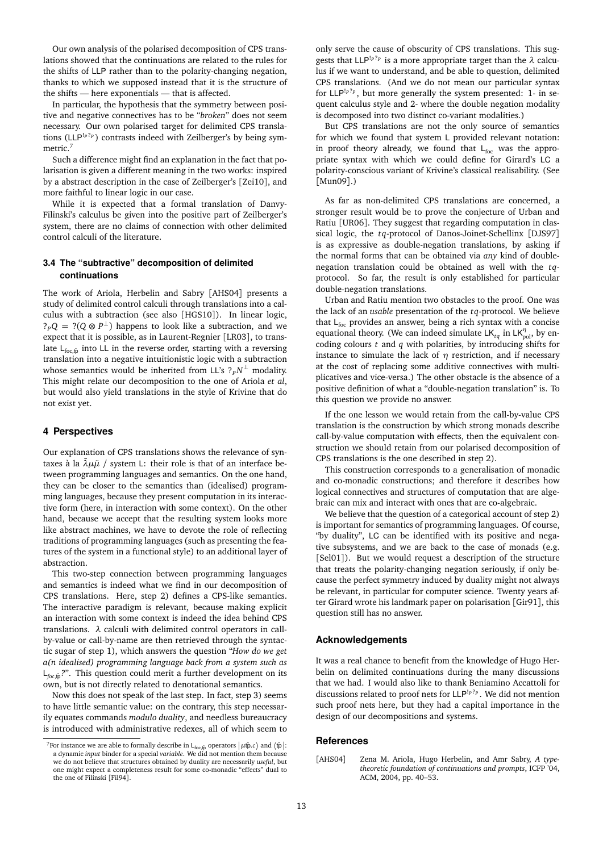Our own analysis of the polarised decomposition of CPS translations showed that the continuations are related to the rules for the shifts of LLP rather than to the polarity-changing negation, thanks to which we supposed instead that it is the structure of the shifts — here exponentials — that is affected.

In particular, the hypothesis that the symmetry between positive and negative connectives has to be "*broken*" does not seem necessary. Our own polarised target for delimited CPS translations (LLP<sup>1</sup><sup>P</sup><sup>2</sup><sup>P</sup>) contrasts indeed with Zeilberger's by being sym-metric.<sup>[7](#page-13-3)</sup>

Such a difference might find an explanation in the fact that polarisation is given a different meaning in the two works: inspired by a abstract description in the case of Zeilberger's [[Zei10](#page-14-39)], and more faithful to linear logic in our case.

While it is expected that a formal translation of Danvy-Filinski's calculus be given into the positive part of Zeilberger's system, there are no claims of connection with other delimited control calculi of the literature.

#### <span id="page-13-0"></span>**3.4 The "subtractive" decomposition of delimited continuations**

The work of Ariola, Herbelin and Sabry [[AHS04](#page-13-2)] presents a study of delimited control calculi through translations into a calculus with a subtraction (see also [[HGS10](#page-14-40)]). In linear logic,  $?_PQ = ?(Q \otimes P^{\perp})$  happens to look like a subtraction, and we expect that it is possible, as in Laurent-Regnier [[LR03](#page-14-30)], to translate  $L_{\text{foc,fb}}$  into LL in the reverse order, starting with a reversing translation into a negative intuitionistic logic with a subtraction whose semantics would be inherited from LL's  $?_PN^\perp$  modality. This might relate our decomposition to the one of Ariola *et al*, but would also yield translations in the style of Krivine that do not exist yet.

#### <span id="page-13-1"></span>**4 Perspectives**

Our explanation of CPS translations shows the relevance of syntaxes à la  $\bar{\lambda} \mu \tilde{\mu}$  / system L: their role is that of an interface between programming languages and semantics. On the one hand, they can be closer to the semantics than (idealised) programming languages, because they present computation in its interactive form (here, in interaction with some context). On the other hand, because we accept that the resulting system looks more like abstract machines, we have to devote the role of reflecting traditions of programming languages (such as presenting the features of the system in a functional style) to an additional layer of abstraction.

This two-step connection between programming languages and semantics is indeed what we find in our decomposition of CPS translations. Here, step 2) defines a CPS-like semantics. The interactive paradigm is relevant, because making explicit an interaction with some context is indeed the idea behind CPS translations. *λ* calculi with delimited control operators in callby-value or call-by-name are then retrieved through the syntactic sugar of step 1), which answers the question "*How do we get a(n idealised) programming language back from a system such as*  $L_{foc,fp}$ <sup>2"</sup>. This question could merit a further development on its own, but is not directly related to denotational semantics.

Now this does not speak of the last step. In fact, step 3) seems to have little semantic value: on the contrary, this step necessarily equates commands *modulo duality*, and needless bureaucracy is introduced with administrative redexes, all of which seem to

only serve the cause of obscurity of CPS translations. This suggests that LLP<sup>*I<sub>P</sub>?<sub>P</sub>*</sup> is a more appropriate target than the  $\lambda$  calculus if we want to understand, and be able to question, delimited CPS translations. (And we do not mean our particular syntax for LLP<sup>1p?p</sup>, but more generally the system presented: 1- in sequent calculus style and 2- where the double negation modality is decomposed into two distinct co-variant modalities.)

But CPS translations are not the only source of semantics for which we found that system L provided relevant notation: in proof theory already, we found that  $L_{\text{foc}}$  was the appropriate syntax with which we could define for Girard's LC a polarity-conscious variant of Krivine's classical realisability. (See [[Mun09](#page-14-10)].)

As far as non-delimited CPS translations are concerned, a stronger result would be to prove the conjecture of Urban and Ratiu [[UR06](#page-14-41)]. They suggest that regarding computation in classical logic, the *tq*-protocol of Danos-Joinet-Schellinx [[DJS97](#page-14-25)] is as expressive as double-negation translations, by asking if the normal forms that can be obtained via *any* kind of doublenegation translation could be obtained as well with the *tq*protocol. So far, the result is only established for particular double-negation translations.

Urban and Ratiu mention two obstacles to the proof. One was the lack of an *usable* presentation of the *tq*-protocol. We believe that  $L_{\text{foc}}$  provides an answer, being a rich syntax with a concise equational theory. (We can indeed simulate  $LK_{tq}$  in  $LK_{pol}^{\eta}$ , by encoding colours *t* and *q* with polarities, by introducing shifts for instance to simulate the lack of  $\eta$  restriction, and if necessary at the cost of replacing some additive connectives with multiplicatives and vice-versa.) The other obstacle is the absence of a positive definition of what a "double-negation translation" is. To this question we provide no answer.

If the one lesson we would retain from the call-by-value CPS translation is the construction by which strong monads describe call-by-value computation with effects, then the equivalent construction we should retain from our polarised decomposition of CPS translations is the one described in step 2).

This construction corresponds to a generalisation of monadic and co-monadic constructions; and therefore it describes how logical connectives and structures of computation that are algebraic can mix and interact with ones that are co-algebraic.

We believe that the question of a categorical account of step 2) is important for semantics of programming languages. Of course, "by duality", LC can be identified with its positive and negative subsystems, and we are back to the case of monads (e.g. [[Sel01](#page-14-7)]). But we would request a description of the structure that treats the polarity-changing negation seriously, if only because the perfect symmetry induced by duality might not always be relevant, in particular for computer science. Twenty years after Girard wrote his landmark paper on polarisation [[Gir91](#page-14-2)], this question still has no answer.

#### **Acknowledgements**

It was a real chance to benefit from the knowledge of Hugo Herbelin on delimited continuations during the many discussions that we had. I would also like to thank Beniamino Accattoli for discussions related to proof nets for LLP<sup>1</sup><sup>p</sup>?<sub>P</sub>. We did not mention such proof nets here, but they had a capital importance in the design of our decompositions and systems.

#### **References**

<span id="page-13-2"></span>[AHS04] Zena M. Ariola, Hugo Herbelin, and Amr Sabry, *A typetheoretic foundation of continuations and prompts*, ICFP '04, ACM, 2004, pp. 40–53.

<span id="page-13-3"></span> $^7$  For instance we are able to formally describe in L<sub>foc,tp</sub>̂ operators  $|\mu$ tp̂.*c*) and  $\langle \hat{\mathbf{p}} |$ : a dynamic *input* binder for a special *variable*. We did not mention them because we do not believe that structures obtained by duality are necessarily *useful*, but one might expect a completeness result for some co-monadic "effects" dual to the one of Filinski [[Fil94](#page-14-12)].